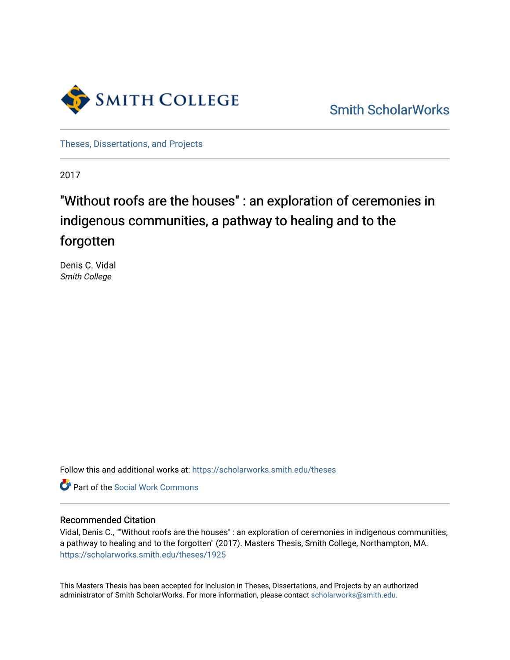

[Smith ScholarWorks](https://scholarworks.smith.edu/) 

[Theses, Dissertations, and Projects](https://scholarworks.smith.edu/theses) 

2017

# "Without roofs are the houses" : an exploration of ceremonies in indigenous communities, a pathway to healing and to the forgotten

Denis C. Vidal Smith College

Follow this and additional works at: [https://scholarworks.smith.edu/theses](https://scholarworks.smith.edu/theses?utm_source=scholarworks.smith.edu%2Ftheses%2F1925&utm_medium=PDF&utm_campaign=PDFCoverPages) 

**C** Part of the [Social Work Commons](http://network.bepress.com/hgg/discipline/713?utm_source=scholarworks.smith.edu%2Ftheses%2F1925&utm_medium=PDF&utm_campaign=PDFCoverPages)

## Recommended Citation

Vidal, Denis C., ""Without roofs are the houses" : an exploration of ceremonies in indigenous communities, a pathway to healing and to the forgotten" (2017). Masters Thesis, Smith College, Northampton, MA. [https://scholarworks.smith.edu/theses/1925](https://scholarworks.smith.edu/theses/1925?utm_source=scholarworks.smith.edu%2Ftheses%2F1925&utm_medium=PDF&utm_campaign=PDFCoverPages)

This Masters Thesis has been accepted for inclusion in Theses, Dissertations, and Projects by an authorized administrator of Smith ScholarWorks. For more information, please contact [scholarworks@smith.edu](mailto:scholarworks@smith.edu).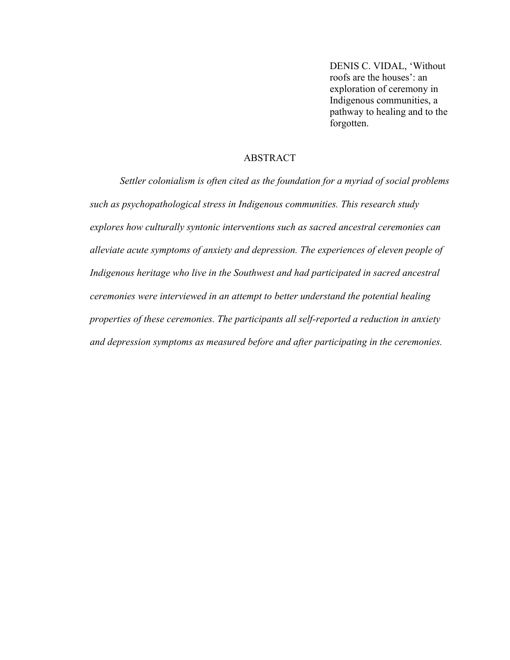DENIS C. VIDAL, 'Without roofs are the houses': an exploration of ceremony in Indigenous communities, a pathway to healing and to the forgotten.

## ABSTRACT

*Settler colonialism is often cited as the foundation for a myriad of social problems such as psychopathological stress in Indigenous communities. This research study explores how culturally syntonic interventions such as sacred ancestral ceremonies can alleviate acute symptoms of anxiety and depression. The experiences of eleven people of Indigenous heritage who live in the Southwest and had participated in sacred ancestral ceremonies were interviewed in an attempt to better understand the potential healing properties of these ceremonies. The participants all self-reported a reduction in anxiety and depression symptoms as measured before and after participating in the ceremonies.*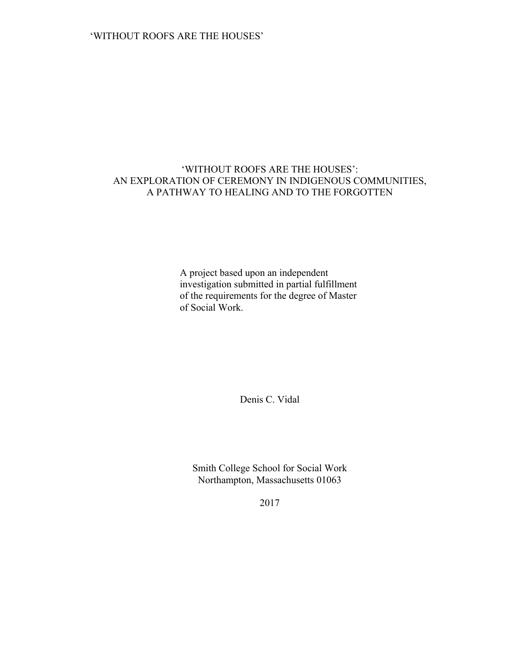## 'WITHOUT ROOFS ARE THE HOUSES': AN EXPLORATION OF CEREMONY IN INDIGENOUS COMMUNITIES, A PATHWAY TO HEALING AND TO THE FORGOTTEN

A project based upon an independent investigation submitted in partial fulfillment of the requirements for the degree of Master of Social Work.

Denis C. Vidal

Smith College School for Social Work Northampton, Massachusetts 01063

2017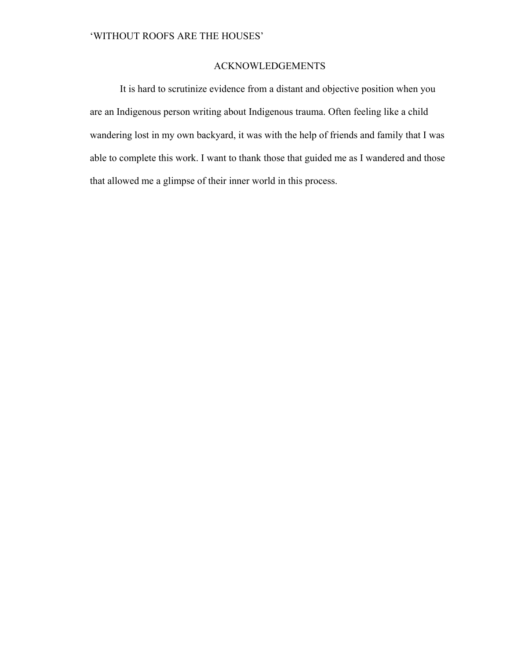## ACKNOWLEDGEMENTS

It is hard to scrutinize evidence from a distant and objective position when you are an Indigenous person writing about Indigenous trauma. Often feeling like a child wandering lost in my own backyard, it was with the help of friends and family that I was able to complete this work. I want to thank those that guided me as I wandered and those that allowed me a glimpse of their inner world in this process.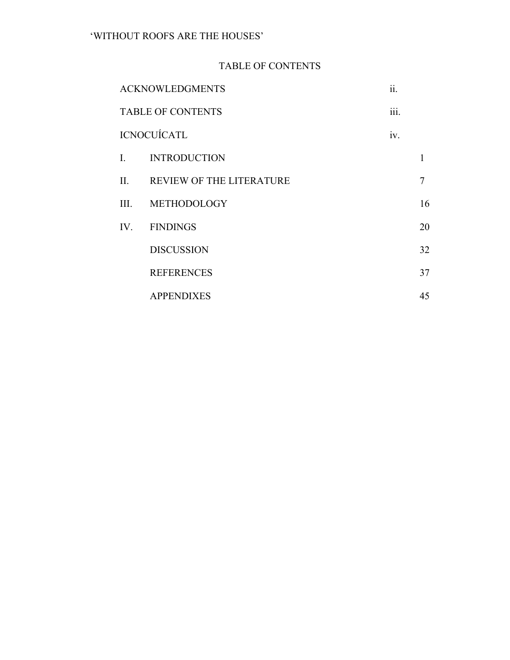# TABLE OF CONTENTS

| <b>ACKNOWLEDGMENTS</b>   |                              | ii.  |    |
|--------------------------|------------------------------|------|----|
| <b>TABLE OF CONTENTS</b> |                              | iii. |    |
| ICNOCUÍCATL              |                              | iv.  |    |
|                          | I. INTRODUCTION              |      | 1  |
|                          | II. REVIEW OF THE LITERATURE |      | 7  |
|                          | III. METHODOLOGY             |      | 16 |
|                          | IV. FINDINGS                 |      | 20 |
|                          | <b>DISCUSSION</b>            |      | 32 |
|                          | <b>REFERENCES</b>            |      | 37 |
|                          | <b>APPENDIXES</b>            |      | 45 |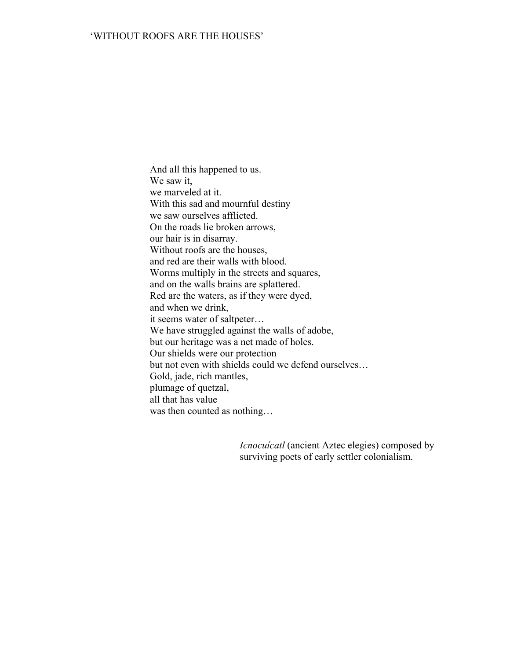And all this happened to us. We saw it, we marveled at it. With this sad and mournful destiny we saw ourselves afflicted. On the roads lie broken arrows, our hair is in disarray. Without roofs are the houses, and red are their walls with blood. Worms multiply in the streets and squares, and on the walls brains are splattered. Red are the waters, as if they were dyed, and when we drink, it seems water of saltpeter… We have struggled against the walls of adobe, but our heritage was a net made of holes. Our shields were our protection but not even with shields could we defend ourselves… Gold, jade, rich mantles, plumage of quetzal, all that has value was then counted as nothing…

> *Icnocuícatl* (ancient Aztec elegies) composed by surviving poets of early settler colonialism.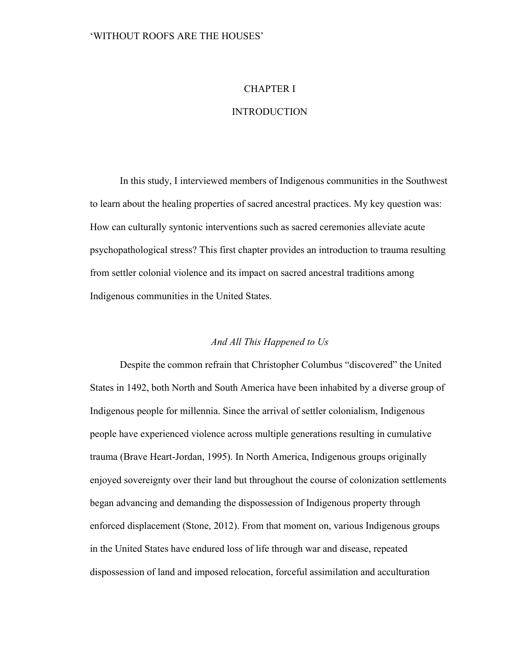## CHAPTER I

## **INTRODUCTION**

In this study, I interviewed members of Indigenous communities in the Southwest to learn about the healing properties of sacred ancestral practices. My key question was: How can culturally syntonic interventions such as sacred ceremonies alleviate acute psychopathological stress? This first chapter provides an introduction to trauma resulting from settler colonial violence and its impact on sacred ancestral traditions among Indigenous communities in the United States.

## *And All This Happened to Us*

Despite the common refrain that Christopher Columbus "discovered" the United States in 1492, both North and South America have been inhabited by a diverse group of Indigenous people for millennia. Since the arrival of settler colonialism, Indigenous people have experienced violence across multiple generations resulting in cumulative trauma (Brave Heart-Jordan, 1995). In North America, Indigenous groups originally enjoyed sovereignty over their land but throughout the course of colonization settlements began advancing and demanding the dispossession of Indigenous property through enforced displacement (Stone, 2012). From that moment on, various Indigenous groups in the United States have endured loss of life through war and disease, repeated dispossession of land and imposed relocation, forceful assimilation and acculturation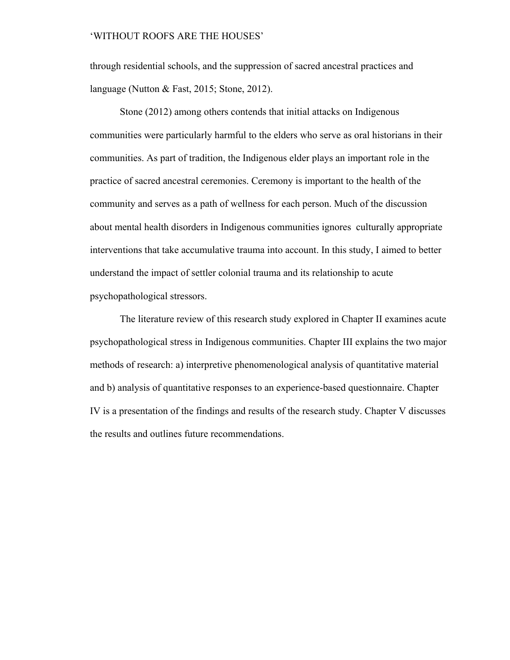through residential schools, and the suppression of sacred ancestral practices and language (Nutton & Fast, 2015; Stone, 2012).

Stone (2012) among others contends that initial attacks on Indigenous communities were particularly harmful to the elders who serve as oral historians in their communities. As part of tradition, the Indigenous elder plays an important role in the practice of sacred ancestral ceremonies. Ceremony is important to the health of the community and serves as a path of wellness for each person. Much of the discussion about mental health disorders in Indigenous communities ignores culturally appropriate interventions that take accumulative trauma into account. In this study, I aimed to better understand the impact of settler colonial trauma and its relationship to acute psychopathological stressors.

The literature review of this research study explored in Chapter II examines acute psychopathological stress in Indigenous communities. Chapter III explains the two major methods of research: a) interpretive phenomenological analysis of quantitative material and b) analysis of quantitative responses to an experience-based questionnaire. Chapter IV is a presentation of the findings and results of the research study. Chapter V discusses the results and outlines future recommendations.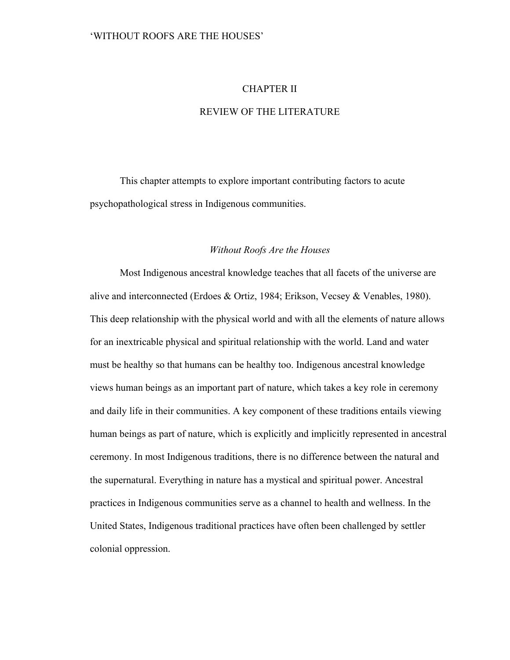## CHAPTER II

## REVIEW OF THE LITERATURE

 This chapter attempts to explore important contributing factors to acute psychopathological stress in Indigenous communities.

## *Without Roofs Are the Houses*

Most Indigenous ancestral knowledge teaches that all facets of the universe are alive and interconnected (Erdoes & Ortiz, 1984; Erikson, Vecsey & Venables, 1980). This deep relationship with the physical world and with all the elements of nature allows for an inextricable physical and spiritual relationship with the world. Land and water must be healthy so that humans can be healthy too. Indigenous ancestral knowledge views human beings as an important part of nature, which takes a key role in ceremony and daily life in their communities. A key component of these traditions entails viewing human beings as part of nature, which is explicitly and implicitly represented in ancestral ceremony. In most Indigenous traditions, there is no difference between the natural and the supernatural. Everything in nature has a mystical and spiritual power. Ancestral practices in Indigenous communities serve as a channel to health and wellness. In the United States, Indigenous traditional practices have often been challenged by settler colonial oppression.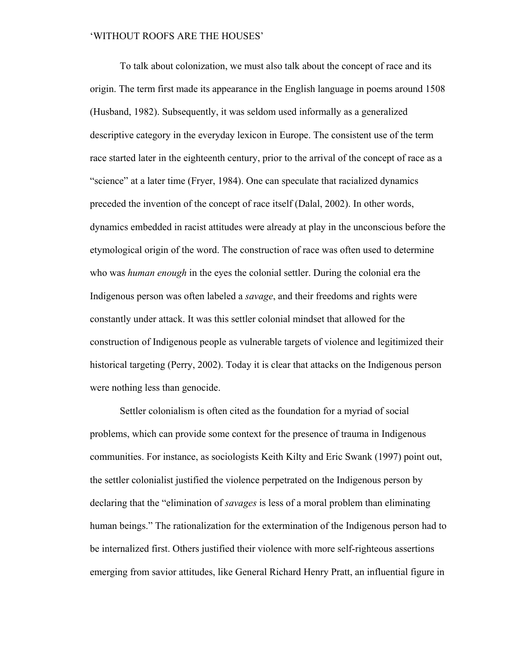To talk about colonization, we must also talk about the concept of race and its origin. The term first made its appearance in the English language in poems around 1508 (Husband, 1982). Subsequently, it was seldom used informally as a generalized descriptive category in the everyday lexicon in Europe. The consistent use of the term race started later in the eighteenth century, prior to the arrival of the concept of race as a "science" at a later time (Fryer, 1984). One can speculate that racialized dynamics preceded the invention of the concept of race itself (Dalal, 2002). In other words, dynamics embedded in racist attitudes were already at play in the unconscious before the etymological origin of the word. The construction of race was often used to determine who was *human enough* in the eyes the colonial settler. During the colonial era the Indigenous person was often labeled a *savage*, and their freedoms and rights were constantly under attack. It was this settler colonial mindset that allowed for the construction of Indigenous people as vulnerable targets of violence and legitimized their historical targeting (Perry, 2002). Today it is clear that attacks on the Indigenous person were nothing less than genocide.

Settler colonialism is often cited as the foundation for a myriad of social problems, which can provide some context for the presence of trauma in Indigenous communities. For instance, as sociologists Keith Kilty and Eric Swank (1997) point out, the settler colonialist justified the violence perpetrated on the Indigenous person by declaring that the "elimination of *savages* is less of a moral problem than eliminating human beings." The rationalization for the extermination of the Indigenous person had to be internalized first. Others justified their violence with more self-righteous assertions emerging from savior attitudes, like General Richard Henry Pratt, an influential figure in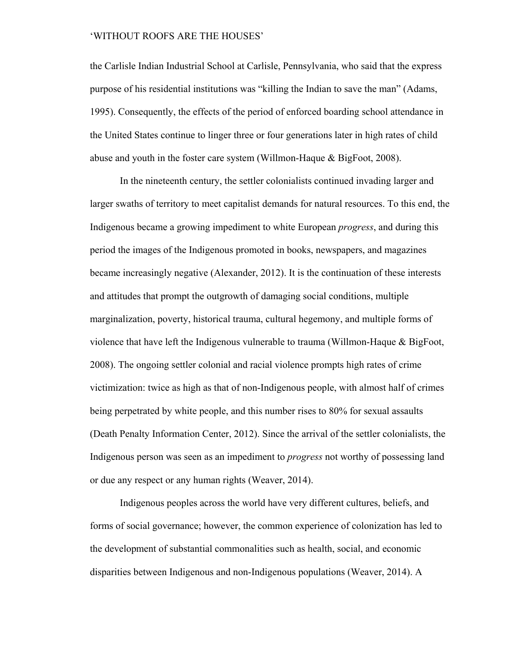the Carlisle Indian Industrial School at Carlisle, Pennsylvania, who said that the express purpose of his residential institutions was "killing the Indian to save the man" (Adams, 1995). Consequently, the effects of the period of enforced boarding school attendance in the United States continue to linger three or four generations later in high rates of child abuse and youth in the foster care system (Willmon-Haque & BigFoot, 2008).

In the nineteenth century, the settler colonialists continued invading larger and larger swaths of territory to meet capitalist demands for natural resources. To this end, the Indigenous became a growing impediment to white European *progress*, and during this period the images of the Indigenous promoted in books, newspapers, and magazines became increasingly negative (Alexander, 2012). It is the continuation of these interests and attitudes that prompt the outgrowth of damaging social conditions, multiple marginalization, poverty, historical trauma, cultural hegemony, and multiple forms of violence that have left the Indigenous vulnerable to trauma (Willmon-Haque & BigFoot, 2008). The ongoing settler colonial and racial violence prompts high rates of crime victimization: twice as high as that of non-Indigenous people, with almost half of crimes being perpetrated by white people, and this number rises to 80% for sexual assaults (Death Penalty Information Center, 2012). Since the arrival of the settler colonialists, the Indigenous person was seen as an impediment to *progress* not worthy of possessing land or due any respect or any human rights (Weaver, 2014).

Indigenous peoples across the world have very different cultures, beliefs, and forms of social governance; however, the common experience of colonization has led to the development of substantial commonalities such as health, social, and economic disparities between Indigenous and non-Indigenous populations (Weaver, 2014). A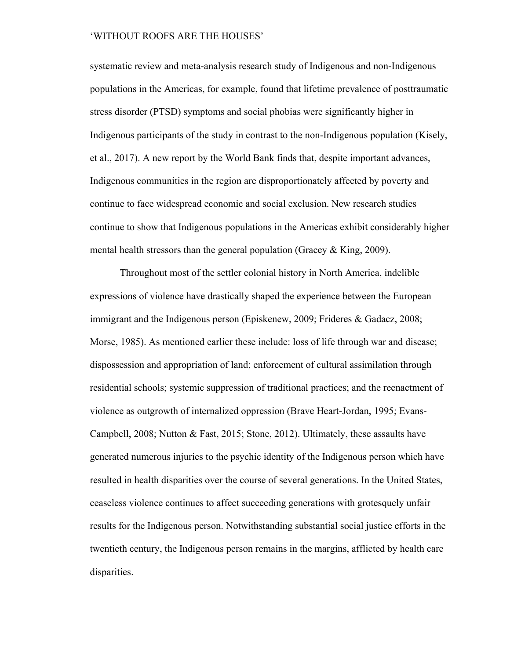systematic review and meta-analysis research study of Indigenous and non-Indigenous populations in the Americas, for example, found that lifetime prevalence of posttraumatic stress disorder (PTSD) symptoms and social phobias were significantly higher in Indigenous participants of the study in contrast to the non-Indigenous population (Kisely, et al., 2017). A new report by the World Bank finds that, despite important advances, Indigenous communities in the region are disproportionately affected by poverty and continue to face widespread economic and social exclusion. New research studies continue to show that Indigenous populations in the Americas exhibit considerably higher mental health stressors than the general population (Gracey & King, 2009).

Throughout most of the settler colonial history in North America, indelible expressions of violence have drastically shaped the experience between the European immigrant and the Indigenous person (Episkenew, 2009; Frideres & Gadacz, 2008; Morse, 1985). As mentioned earlier these include: loss of life through war and disease; dispossession and appropriation of land; enforcement of cultural assimilation through residential schools; systemic suppression of traditional practices; and the reenactment of violence as outgrowth of internalized oppression (Brave Heart-Jordan, 1995; Evans-Campbell, 2008; Nutton & Fast, 2015; Stone, 2012). Ultimately, these assaults have generated numerous injuries to the psychic identity of the Indigenous person which have resulted in health disparities over the course of several generations. In the United States, ceaseless violence continues to affect succeeding generations with grotesquely unfair results for the Indigenous person. Notwithstanding substantial social justice efforts in the twentieth century, the Indigenous person remains in the margins, afflicted by health care disparities.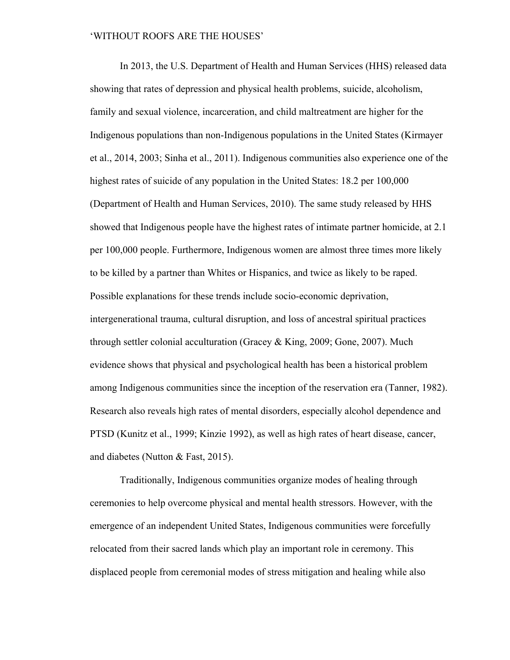In 2013, the U.S. Department of Health and Human Services (HHS) released data showing that rates of depression and physical health problems, suicide, alcoholism, family and sexual violence, incarceration, and child maltreatment are higher for the Indigenous populations than non-Indigenous populations in the United States (Kirmayer et al., 2014, 2003; Sinha et al., 2011). Indigenous communities also experience one of the highest rates of suicide of any population in the United States: 18.2 per 100,000 (Department of Health and Human Services, 2010). The same study released by HHS showed that Indigenous people have the highest rates of intimate partner homicide, at 2.1 per 100,000 people. Furthermore, Indigenous women are almost three times more likely to be killed by a partner than Whites or Hispanics, and twice as likely to be raped. Possible explanations for these trends include socio-economic deprivation, intergenerational trauma, cultural disruption, and loss of ancestral spiritual practices through settler colonial acculturation (Gracey & King, 2009; Gone, 2007). Much evidence shows that physical and psychological health has been a historical problem among Indigenous communities since the inception of the reservation era (Tanner, 1982). Research also reveals high rates of mental disorders, especially alcohol dependence and PTSD (Kunitz et al., 1999; Kinzie 1992), as well as high rates of heart disease, cancer, and diabetes (Nutton & Fast, 2015).

Traditionally, Indigenous communities organize modes of healing through ceremonies to help overcome physical and mental health stressors. However, with the emergence of an independent United States, Indigenous communities were forcefully relocated from their sacred lands which play an important role in ceremony. This displaced people from ceremonial modes of stress mitigation and healing while also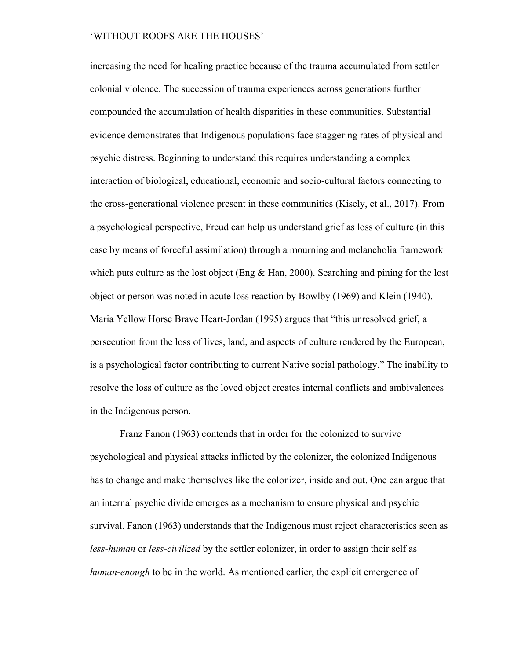increasing the need for healing practice because of the trauma accumulated from settler colonial violence. The succession of trauma experiences across generations further compounded the accumulation of health disparities in these communities. Substantial evidence demonstrates that Indigenous populations face staggering rates of physical and psychic distress. Beginning to understand this requires understanding a complex interaction of biological, educational, economic and socio-cultural factors connecting to the cross-generational violence present in these communities (Kisely, et al., 2017). From a psychological perspective, Freud can help us understand grief as loss of culture (in this case by means of forceful assimilation) through a mourning and melancholia framework which puts culture as the lost object (Eng  $&$  Han, 2000). Searching and pining for the lost object or person was noted in acute loss reaction by Bowlby (1969) and Klein (1940). Maria Yellow Horse Brave Heart-Jordan (1995) argues that "this unresolved grief, a persecution from the loss of lives, land, and aspects of culture rendered by the European, is a psychological factor contributing to current Native social pathology." The inability to resolve the loss of culture as the loved object creates internal conflicts and ambivalences in the Indigenous person.

Franz Fanon (1963) contends that in order for the colonized to survive psychological and physical attacks inflicted by the colonizer, the colonized Indigenous has to change and make themselves like the colonizer, inside and out. One can argue that an internal psychic divide emerges as a mechanism to ensure physical and psychic survival. Fanon (1963) understands that the Indigenous must reject characteristics seen as *less-human* or *less-civilized* by the settler colonizer, in order to assign their self as *human-enough* to be in the world. As mentioned earlier, the explicit emergence of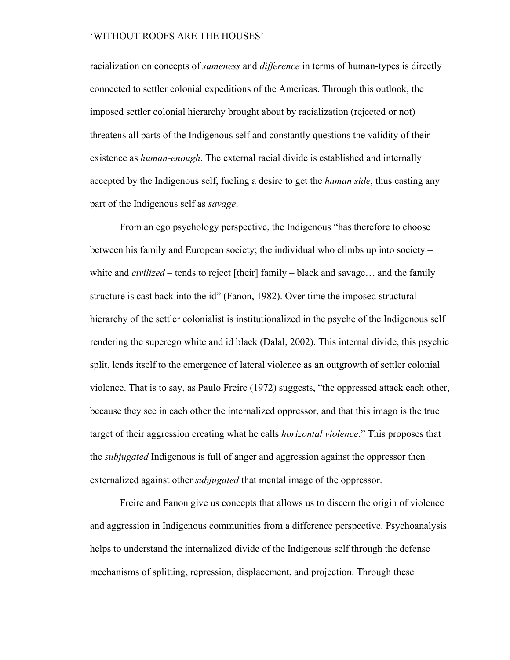racialization on concepts of *sameness* and *difference* in terms of human-types is directly connected to settler colonial expeditions of the Americas. Through this outlook, the imposed settler colonial hierarchy brought about by racialization (rejected or not) threatens all parts of the Indigenous self and constantly questions the validity of their existence as *human-enough*. The external racial divide is established and internally accepted by the Indigenous self, fueling a desire to get the *human side*, thus casting any part of the Indigenous self as *savage*.

From an ego psychology perspective, the Indigenous "has therefore to choose between his family and European society; the individual who climbs up into society – white and *civilized* – tends to reject [their] family – black and savage… and the family structure is cast back into the id" (Fanon, 1982). Over time the imposed structural hierarchy of the settler colonialist is institutionalized in the psyche of the Indigenous self rendering the superego white and id black (Dalal, 2002). This internal divide, this psychic split, lends itself to the emergence of lateral violence as an outgrowth of settler colonial violence. That is to say, as Paulo Freire (1972) suggests, "the oppressed attack each other, because they see in each other the internalized oppressor, and that this imago is the true target of their aggression creating what he calls *horizontal violence*." This proposes that the *subjugated* Indigenous is full of anger and aggression against the oppressor then externalized against other *subjugated* that mental image of the oppressor.

Freire and Fanon give us concepts that allows us to discern the origin of violence and aggression in Indigenous communities from a difference perspective. Psychoanalysis helps to understand the internalized divide of the Indigenous self through the defense mechanisms of splitting, repression, displacement, and projection. Through these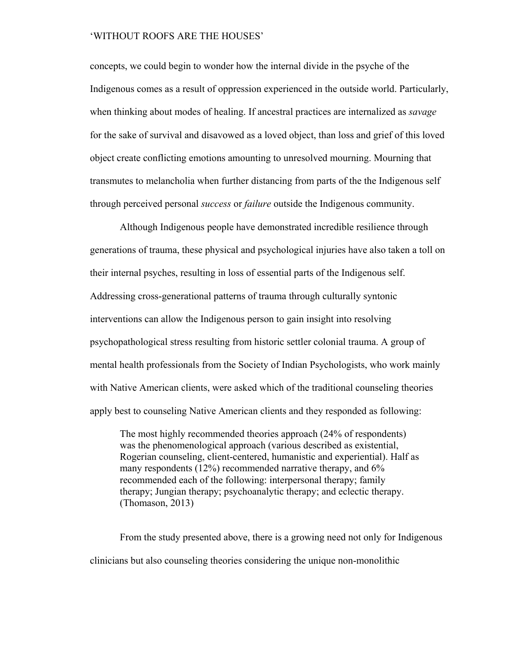concepts, we could begin to wonder how the internal divide in the psyche of the Indigenous comes as a result of oppression experienced in the outside world. Particularly, when thinking about modes of healing. If ancestral practices are internalized as *savage* for the sake of survival and disavowed as a loved object, than loss and grief of this loved object create conflicting emotions amounting to unresolved mourning. Mourning that transmutes to melancholia when further distancing from parts of the the Indigenous self through perceived personal *success* or *failure* outside the Indigenous community.

Although Indigenous people have demonstrated incredible resilience through generations of trauma, these physical and psychological injuries have also taken a toll on their internal psyches, resulting in loss of essential parts of the Indigenous self. Addressing cross-generational patterns of trauma through culturally syntonic interventions can allow the Indigenous person to gain insight into resolving psychopathological stress resulting from historic settler colonial trauma. A group of mental health professionals from the Society of Indian Psychologists, who work mainly with Native American clients, were asked which of the traditional counseling theories apply best to counseling Native American clients and they responded as following:

The most highly recommended theories approach (24% of respondents) was the phenomenological approach (various described as existential, Rogerian counseling, client-centered, humanistic and experiential). Half as many respondents (12%) recommended narrative therapy, and 6% recommended each of the following: interpersonal therapy; family therapy; Jungian therapy; psychoanalytic therapy; and eclectic therapy. (Thomason, 2013)

From the study presented above, there is a growing need not only for Indigenous clinicians but also counseling theories considering the unique non-monolithic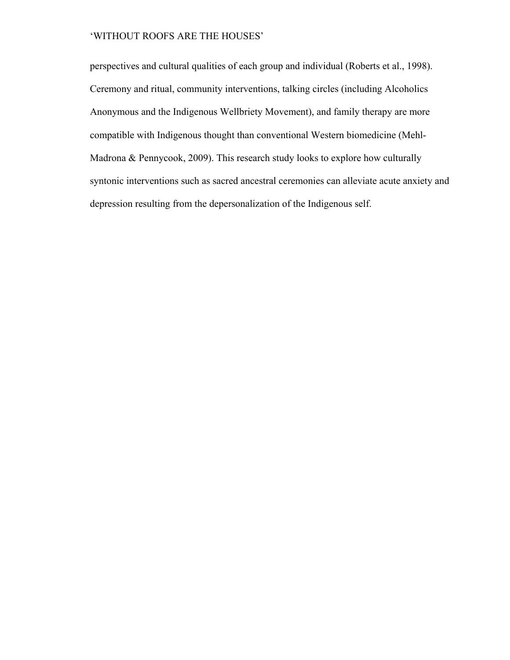perspectives and cultural qualities of each group and individual (Roberts et al., 1998). Ceremony and ritual, community interventions, talking circles (including Alcoholics Anonymous and the Indigenous Wellbriety Movement), and family therapy are more compatible with Indigenous thought than conventional Western biomedicine (Mehl-Madrona & Pennycook, 2009). This research study looks to explore how culturally syntonic interventions such as sacred ancestral ceremonies can alleviate acute anxiety and depression resulting from the depersonalization of the Indigenous self.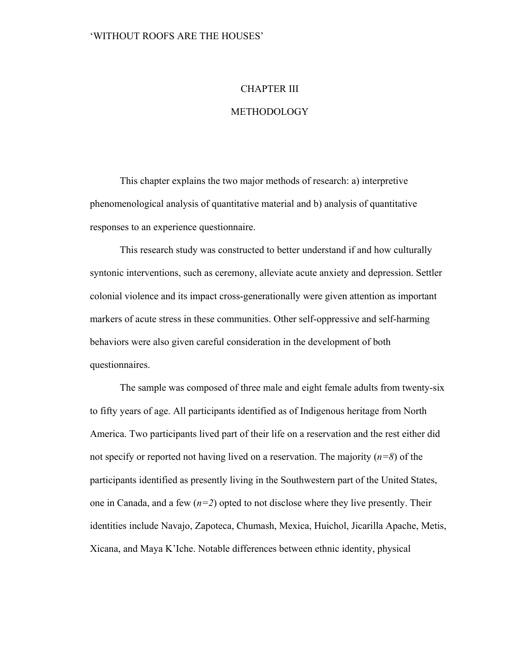### CHAPTER III

## **METHODOLOGY**

This chapter explains the two major methods of research: a) interpretive phenomenological analysis of quantitative material and b) analysis of quantitative responses to an experience questionnaire.

This research study was constructed to better understand if and how culturally syntonic interventions, such as ceremony, alleviate acute anxiety and depression. Settler colonial violence and its impact cross-generationally were given attention as important markers of acute stress in these communities. Other self-oppressive and self-harming behaviors were also given careful consideration in the development of both questionnaires.

The sample was composed of three male and eight female adults from twenty-six to fifty years of age. All participants identified as of Indigenous heritage from North America. Two participants lived part of their life on a reservation and the rest either did not specify or reported not having lived on a reservation. The majority (*n=8*) of the participants identified as presently living in the Southwestern part of the United States, one in Canada, and a few  $(n=2)$  opted to not disclose where they live presently. Their identities include Navajo, Zapoteca, Chumash, Mexica, Huichol, Jicarilla Apache, Metis, Xicana, and Maya K'Iche. Notable differences between ethnic identity, physical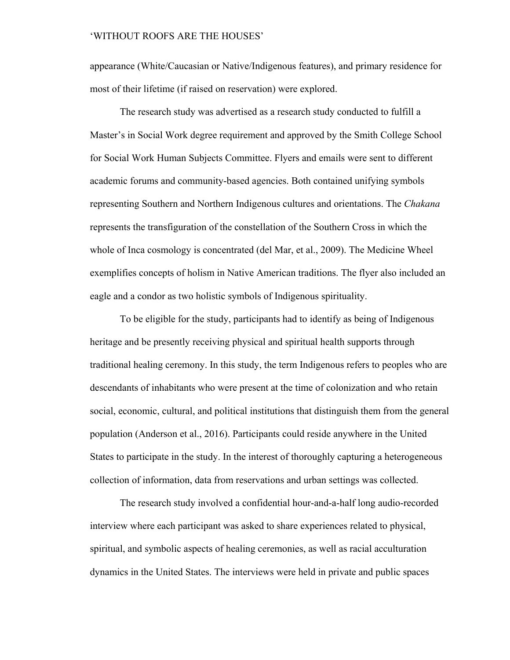appearance (White/Caucasian or Native/Indigenous features), and primary residence for most of their lifetime (if raised on reservation) were explored.

The research study was advertised as a research study conducted to fulfill a Master's in Social Work degree requirement and approved by the Smith College School for Social Work Human Subjects Committee. Flyers and emails were sent to different academic forums and community-based agencies. Both contained unifying symbols representing Southern and Northern Indigenous cultures and orientations. The *Chakana* represents the transfiguration of the constellation of the Southern Cross in which the whole of Inca cosmology is concentrated (del Mar, et al., 2009). The Medicine Wheel exemplifies concepts of holism in Native American traditions. The flyer also included an eagle and a condor as two holistic symbols of Indigenous spirituality.

To be eligible for the study, participants had to identify as being of Indigenous heritage and be presently receiving physical and spiritual health supports through traditional healing ceremony. In this study, the term Indigenous refers to peoples who are descendants of inhabitants who were present at the time of colonization and who retain social, economic, cultural, and political institutions that distinguish them from the general population (Anderson et al., 2016). Participants could reside anywhere in the United States to participate in the study. In the interest of thoroughly capturing a heterogeneous collection of information, data from reservations and urban settings was collected.

The research study involved a confidential hour-and-a-half long audio-recorded interview where each participant was asked to share experiences related to physical, spiritual, and symbolic aspects of healing ceremonies, as well as racial acculturation dynamics in the United States. The interviews were held in private and public spaces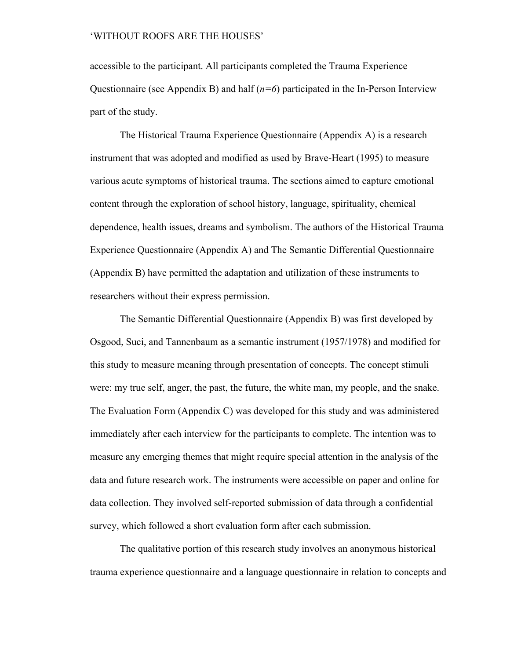accessible to the participant. All participants completed the Trauma Experience Questionnaire (see Appendix B) and half (*n=6*) participated in the In-Person Interview part of the study.

The Historical Trauma Experience Questionnaire (Appendix A) is a research instrument that was adopted and modified as used by Brave-Heart (1995) to measure various acute symptoms of historical trauma. The sections aimed to capture emotional content through the exploration of school history, language, spirituality, chemical dependence, health issues, dreams and symbolism. The authors of the Historical Trauma Experience Questionnaire (Appendix A) and The Semantic Differential Questionnaire (Appendix B) have permitted the adaptation and utilization of these instruments to researchers without their express permission.

The Semantic Differential Questionnaire (Appendix B) was first developed by Osgood, Suci, and Tannenbaum as a semantic instrument (1957/1978) and modified for this study to measure meaning through presentation of concepts. The concept stimuli were: my true self, anger, the past, the future, the white man, my people, and the snake. The Evaluation Form (Appendix C) was developed for this study and was administered immediately after each interview for the participants to complete. The intention was to measure any emerging themes that might require special attention in the analysis of the data and future research work. The instruments were accessible on paper and online for data collection. They involved self-reported submission of data through a confidential survey, which followed a short evaluation form after each submission.

The qualitative portion of this research study involves an anonymous historical trauma experience questionnaire and a language questionnaire in relation to concepts and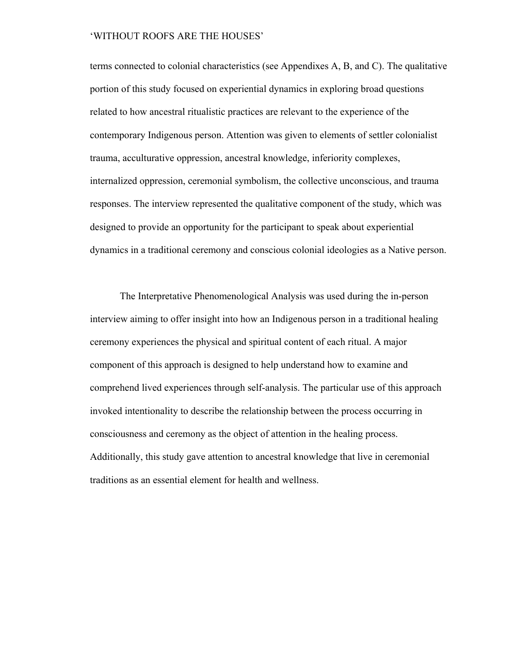terms connected to colonial characteristics (see Appendixes A, B, and C). The qualitative portion of this study focused on experiential dynamics in exploring broad questions related to how ancestral ritualistic practices are relevant to the experience of the contemporary Indigenous person. Attention was given to elements of settler colonialist trauma, acculturative oppression, ancestral knowledge, inferiority complexes, internalized oppression, ceremonial symbolism, the collective unconscious, and trauma responses. The interview represented the qualitative component of the study, which was designed to provide an opportunity for the participant to speak about experiential dynamics in a traditional ceremony and conscious colonial ideologies as a Native person.

The Interpretative Phenomenological Analysis was used during the in-person interview aiming to offer insight into how an Indigenous person in a traditional healing ceremony experiences the physical and spiritual content of each ritual. A major component of this approach is designed to help understand how to examine and comprehend lived experiences through self-analysis. The particular use of this approach invoked intentionality to describe the relationship between the process occurring in consciousness and ceremony as the object of attention in the healing process. Additionally, this study gave attention to ancestral knowledge that live in ceremonial traditions as an essential element for health and wellness.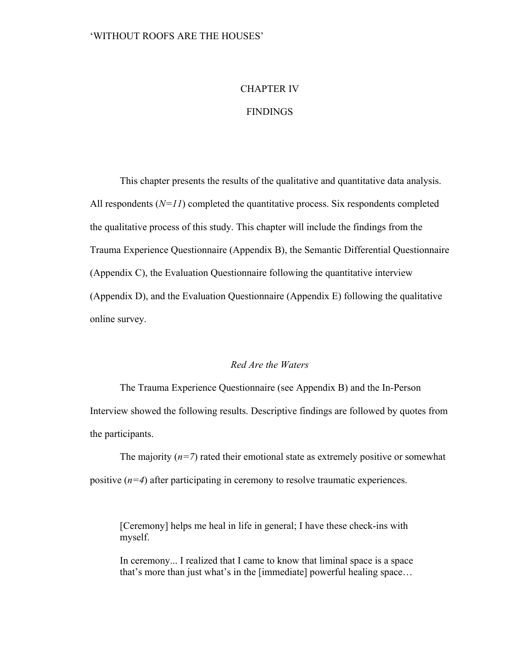## CHAPTER IV

## **FINDINGS**

This chapter presents the results of the qualitative and quantitative data analysis. All respondents  $(N=11)$  completed the quantitative process. Six respondents completed the qualitative process of this study. This chapter will include the findings from the Trauma Experience Questionnaire (Appendix B), the Semantic Differential Questionnaire (Appendix C), the Evaluation Questionnaire following the quantitative interview (Appendix D), and the Evaluation Questionnaire (Appendix E) following the qualitative online survey.

## *Red Are the Waters*

The Trauma Experience Questionnaire (see Appendix B) and the In-Person Interview showed the following results. Descriptive findings are followed by quotes from the participants.

The majority  $(n=7)$  rated their emotional state as extremely positive or somewhat positive (*n=4*) after participating in ceremony to resolve traumatic experiences.

[Ceremony] helps me heal in life in general; I have these check-ins with myself.

In ceremony... I realized that I came to know that liminal space is a space that's more than just what's in the [immediate] powerful healing space…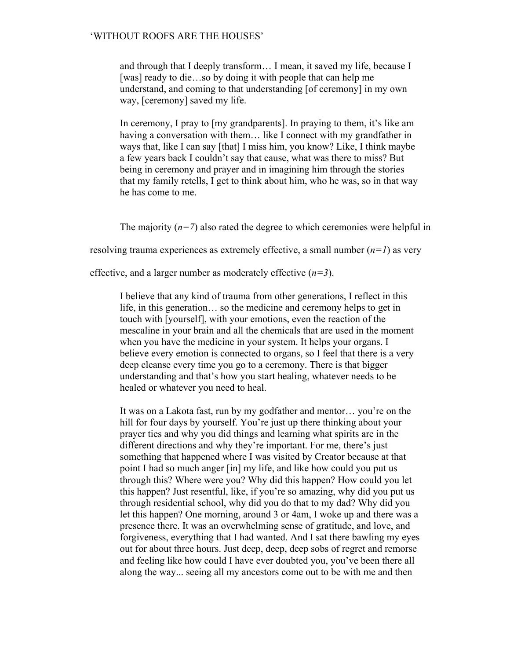and through that I deeply transform… I mean, it saved my life, because I [was] ready to die…so by doing it with people that can help me understand, and coming to that understanding [of ceremony] in my own way, [ceremony] saved my life.

In ceremony, I pray to [my grandparents]. In praying to them, it's like am having a conversation with them... like I connect with my grandfather in ways that, like I can say [that] I miss him, you know? Like, I think maybe a few years back I couldn't say that cause, what was there to miss? But being in ceremony and prayer and in imagining him through the stories that my family retells, I get to think about him, who he was, so in that way he has come to me.

The majority  $(n=7)$  also rated the degree to which ceremonies were helpful in

resolving trauma experiences as extremely effective, a small number (*n=1*) as very

effective, and a larger number as moderately effective (*n=3*).

I believe that any kind of trauma from other generations, I reflect in this life, in this generation… so the medicine and ceremony helps to get in touch with [yourself], with your emotions, even the reaction of the mescaline in your brain and all the chemicals that are used in the moment when you have the medicine in your system. It helps your organs. I believe every emotion is connected to organs, so I feel that there is a very deep cleanse every time you go to a ceremony. There is that bigger understanding and that's how you start healing, whatever needs to be healed or whatever you need to heal.

It was on a Lakota fast, run by my godfather and mentor… you're on the hill for four days by yourself. You're just up there thinking about your prayer ties and why you did things and learning what spirits are in the different directions and why they're important. For me, there's just something that happened where I was visited by Creator because at that point I had so much anger [in] my life, and like how could you put us through this? Where were you? Why did this happen? How could you let this happen? Just resentful, like, if you're so amazing, why did you put us through residential school, why did you do that to my dad? Why did you let this happen? One morning, around 3 or 4am, I woke up and there was a presence there. It was an overwhelming sense of gratitude, and love, and forgiveness, everything that I had wanted. And I sat there bawling my eyes out for about three hours. Just deep, deep, deep sobs of regret and remorse and feeling like how could I have ever doubted you, you've been there all along the way... seeing all my ancestors come out to be with me and then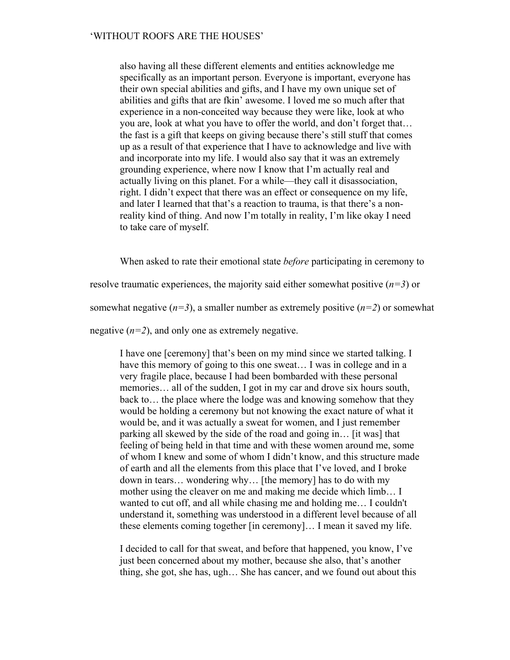also having all these different elements and entities acknowledge me specifically as an important person. Everyone is important, everyone has their own special abilities and gifts, and I have my own unique set of abilities and gifts that are fkin' awesome. I loved me so much after that experience in a non-conceited way because they were like, look at who you are, look at what you have to offer the world, and don't forget that… the fast is a gift that keeps on giving because there's still stuff that comes up as a result of that experience that I have to acknowledge and live with and incorporate into my life. I would also say that it was an extremely grounding experience, where now I know that I'm actually real and actually living on this planet. For a while—they call it disassociation, right. I didn't expect that there was an effect or consequence on my life, and later I learned that that's a reaction to trauma, is that there's a nonreality kind of thing. And now I'm totally in reality, I'm like okay I need to take care of myself.

When asked to rate their emotional state *before* participating in ceremony to

resolve traumatic experiences, the majority said either somewhat positive (*n=3*) or

somewhat negative  $(n=3)$ , a smaller number as extremely positive  $(n=2)$  or somewhat

negative  $(n=2)$ , and only one as extremely negative.

I have one [ceremony] that's been on my mind since we started talking. I have this memory of going to this one sweat... I was in college and in a very fragile place, because I had been bombarded with these personal memories… all of the sudden, I got in my car and drove six hours south, back to… the place where the lodge was and knowing somehow that they would be holding a ceremony but not knowing the exact nature of what it would be, and it was actually a sweat for women, and I just remember parking all skewed by the side of the road and going in… [it was] that feeling of being held in that time and with these women around me, some of whom I knew and some of whom I didn't know, and this structure made of earth and all the elements from this place that I've loved, and I broke down in tears… wondering why… [the memory] has to do with my mother using the cleaver on me and making me decide which limb… I wanted to cut off, and all while chasing me and holding me… I couldn't understand it, something was understood in a different level because of all these elements coming together [in ceremony]… I mean it saved my life.

I decided to call for that sweat, and before that happened, you know, I've just been concerned about my mother, because she also, that's another thing, she got, she has, ugh… She has cancer, and we found out about this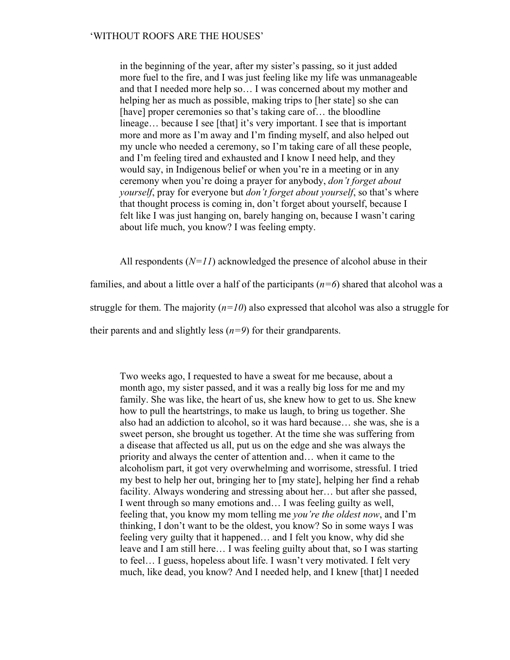in the beginning of the year, after my sister's passing, so it just added more fuel to the fire, and I was just feeling like my life was unmanageable and that I needed more help so… I was concerned about my mother and helping her as much as possible, making trips to [her state] so she can [have] proper ceremonies so that's taking care of... the bloodline lineage… because I see [that] it's very important. I see that is important more and more as I'm away and I'm finding myself, and also helped out my uncle who needed a ceremony, so I'm taking care of all these people, and I'm feeling tired and exhausted and I know I need help, and they would say, in Indigenous belief or when you're in a meeting or in any ceremony when you're doing a prayer for anybody, *don't forget about yourself*, pray for everyone but *don't forget about yourself*, so that's where that thought process is coming in, don't forget about yourself, because I felt like I was just hanging on, barely hanging on, because I wasn't caring about life much, you know? I was feeling empty.

All respondents  $(N=11)$  acknowledged the presence of alcohol abuse in their

families, and about a little over a half of the participants (*n=6*) shared that alcohol was a struggle for them. The majority  $(n=10)$  also expressed that alcohol was also a struggle for their parents and and slightly less  $(n=9)$  for their grandparents.

Two weeks ago, I requested to have a sweat for me because, about a month ago, my sister passed, and it was a really big loss for me and my family. She was like, the heart of us, she knew how to get to us. She knew how to pull the heartstrings, to make us laugh, to bring us together. She also had an addiction to alcohol, so it was hard because… she was, she is a sweet person, she brought us together. At the time she was suffering from a disease that affected us all, put us on the edge and she was always the priority and always the center of attention and… when it came to the alcoholism part, it got very overwhelming and worrisome, stressful. I tried my best to help her out, bringing her to [my state], helping her find a rehab facility. Always wondering and stressing about her… but after she passed, I went through so many emotions and… I was feeling guilty as well, feeling that, you know my mom telling me *you're the oldest now*, and I'm thinking, I don't want to be the oldest, you know? So in some ways I was feeling very guilty that it happened… and I felt you know, why did she leave and I am still here… I was feeling guilty about that, so I was starting to feel… I guess, hopeless about life. I wasn't very motivated. I felt very much, like dead, you know? And I needed help, and I knew [that] I needed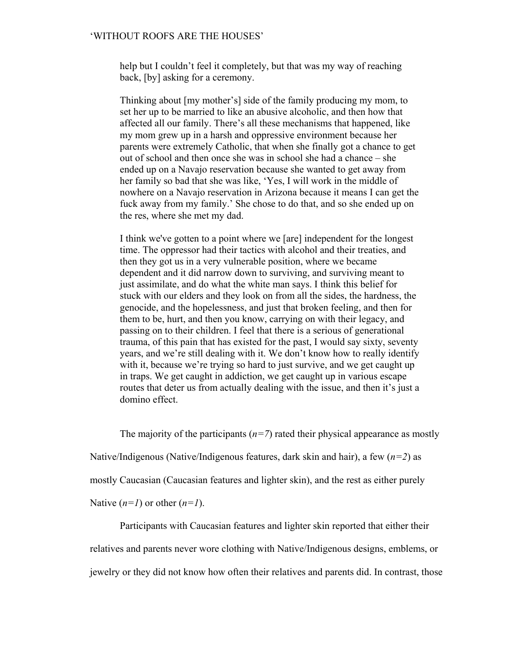help but I couldn't feel it completely, but that was my way of reaching back, [by] asking for a ceremony.

Thinking about [my mother's] side of the family producing my mom, to set her up to be married to like an abusive alcoholic, and then how that affected all our family. There's all these mechanisms that happened, like my mom grew up in a harsh and oppressive environment because her parents were extremely Catholic, that when she finally got a chance to get out of school and then once she was in school she had a chance – she ended up on a Navajo reservation because she wanted to get away from her family so bad that she was like, 'Yes, I will work in the middle of nowhere on a Navajo reservation in Arizona because it means I can get the fuck away from my family.' She chose to do that, and so she ended up on the res, where she met my dad.

I think we've gotten to a point where we [are] independent for the longest time. The oppressor had their tactics with alcohol and their treaties, and then they got us in a very vulnerable position, where we became dependent and it did narrow down to surviving, and surviving meant to just assimilate, and do what the white man says. I think this belief for stuck with our elders and they look on from all the sides, the hardness, the genocide, and the hopelessness, and just that broken feeling, and then for them to be, hurt, and then you know, carrying on with their legacy, and passing on to their children. I feel that there is a serious of generational trauma, of this pain that has existed for the past, I would say sixty, seventy years, and we're still dealing with it. We don't know how to really identify with it, because we're trying so hard to just survive, and we get caught up in traps. We get caught in addiction, we get caught up in various escape routes that deter us from actually dealing with the issue, and then it's just a domino effect.

The majority of the participants  $(n=7)$  rated their physical appearance as mostly

Native/Indigenous (Native/Indigenous features, dark skin and hair), a few (*n=2*) as

mostly Caucasian (Caucasian features and lighter skin), and the rest as either purely

Native  $(n=1)$  or other  $(n=1)$ .

Participants with Caucasian features and lighter skin reported that either their relatives and parents never wore clothing with Native/Indigenous designs, emblems, or jewelry or they did not know how often their relatives and parents did. In contrast, those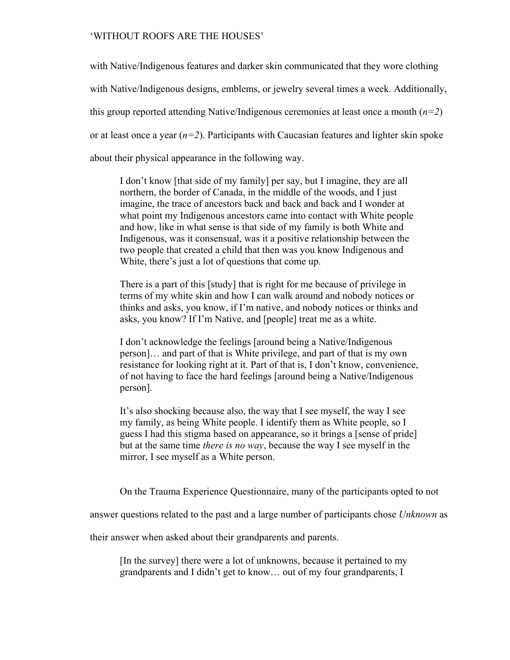with Native/Indigenous features and darker skin communicated that they wore clothing with Native/Indigenous designs, emblems, or jewelry several times a week. Additionally, this group reported attending Native/Indigenous ceremonies at least once a month (*n=2*) or at least once a year  $(n=2)$ . Participants with Caucasian features and lighter skin spoke about their physical appearance in the following way.

I don't know [that side of my family] per say, but I imagine, they are all northern, the border of Canada, in the middle of the woods, and I just imagine, the trace of ancestors back and back and back and I wonder at what point my Indigenous ancestors came into contact with White people and how, like in what sense is that side of my family is both White and Indigenous, was it consensual, was it a positive relationship between the two people that created a child that then was you know Indigenous and White, there's just a lot of questions that come up.

There is a part of this [study] that is right for me because of privilege in terms of my white skin and how I can walk around and nobody notices or thinks and asks, you know, if I'm native, and nobody notices or thinks and asks, you know? If I'm Native, and [people] treat me as a white.

I don't acknowledge the feelings [around being a Native/Indigenous person]… and part of that is White privilege, and part of that is my own resistance for looking right at it. Part of that is, I don't know, convenience, of not having to face the hard feelings [around being a Native/Indigenous person].

It's also shocking because also, the way that I see myself, the way I see my family, as being White people. I identify them as White people, so I guess I had this stigma based on appearance, so it brings a [sense of pride] but at the same time *there is no way*, because the way I see myself in the mirror, I see myself as a White person.

On the Trauma Experience Questionnaire, many of the participants opted to not

answer questions related to the past and a large number of participants chose *Unknown* as

their answer when asked about their grandparents and parents.

[In the survey] there were a lot of unknowns, because it pertained to my grandparents and I didn't get to know… out of my four grandparents, I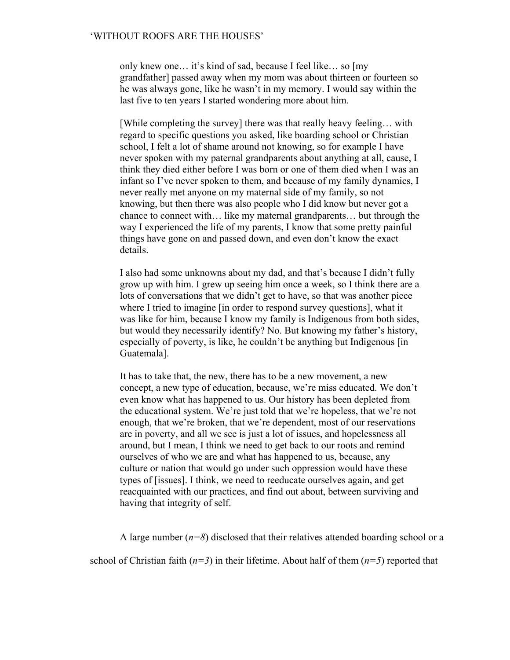only knew one… it's kind of sad, because I feel like… so [my grandfather] passed away when my mom was about thirteen or fourteen so he was always gone, like he wasn't in my memory. I would say within the last five to ten years I started wondering more about him.

[While completing the survey] there was that really heavy feeling… with regard to specific questions you asked, like boarding school or Christian school, I felt a lot of shame around not knowing, so for example I have never spoken with my paternal grandparents about anything at all, cause, I think they died either before I was born or one of them died when I was an infant so I've never spoken to them, and because of my family dynamics, I never really met anyone on my maternal side of my family, so not knowing, but then there was also people who I did know but never got a chance to connect with… like my maternal grandparents… but through the way I experienced the life of my parents, I know that some pretty painful things have gone on and passed down, and even don't know the exact details.

I also had some unknowns about my dad, and that's because I didn't fully grow up with him. I grew up seeing him once a week, so I think there are a lots of conversations that we didn't get to have, so that was another piece where I tried to imagine [in order to respond survey questions], what it was like for him, because I know my family is Indigenous from both sides, but would they necessarily identify? No. But knowing my father's history, especially of poverty, is like, he couldn't be anything but Indigenous [in Guatemala].

It has to take that, the new, there has to be a new movement, a new concept, a new type of education, because, we're miss educated. We don't even know what has happened to us. Our history has been depleted from the educational system. We're just told that we're hopeless, that we're not enough, that we're broken, that we're dependent, most of our reservations are in poverty, and all we see is just a lot of issues, and hopelessness all around, but I mean, I think we need to get back to our roots and remind ourselves of who we are and what has happened to us, because, any culture or nation that would go under such oppression would have these types of [issues]. I think, we need to reeducate ourselves again, and get reacquainted with our practices, and find out about, between surviving and having that integrity of self.

A large number (*n=8*) disclosed that their relatives attended boarding school or a

school of Christian faith  $(n=3)$  in their lifetime. About half of them  $(n=5)$  reported that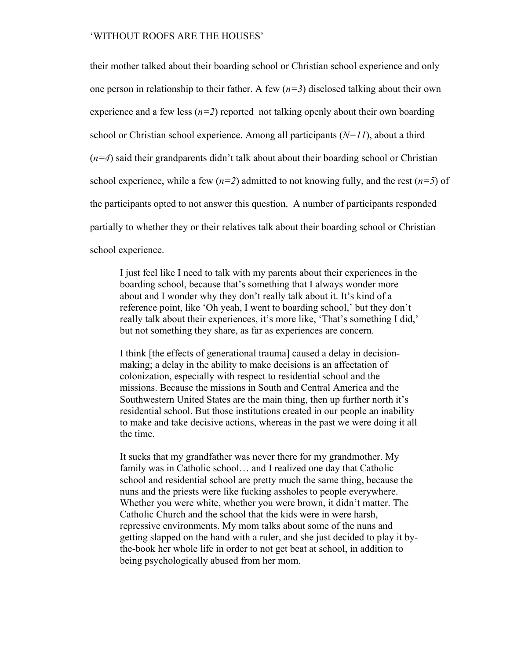their mother talked about their boarding school or Christian school experience and only one person in relationship to their father. A few  $(n=3)$  disclosed talking about their own experience and a few less  $(n=2)$  reported not talking openly about their own boarding school or Christian school experience. Among all participants (*N=11*), about a third (*n=4*) said their grandparents didn't talk about about their boarding school or Christian school experience, while a few  $(n=2)$  admitted to not knowing fully, and the rest  $(n=5)$  of the participants opted to not answer this question. A number of participants responded partially to whether they or their relatives talk about their boarding school or Christian school experience.

I just feel like I need to talk with my parents about their experiences in the boarding school, because that's something that I always wonder more about and I wonder why they don't really talk about it. It's kind of a reference point, like 'Oh yeah, I went to boarding school,' but they don't really talk about their experiences, it's more like, 'That's something I did,' but not something they share, as far as experiences are concern.

I think [the effects of generational trauma] caused a delay in decisionmaking; a delay in the ability to make decisions is an affectation of colonization, especially with respect to residential school and the missions. Because the missions in South and Central America and the Southwestern United States are the main thing, then up further north it's residential school. But those institutions created in our people an inability to make and take decisive actions, whereas in the past we were doing it all the time.

It sucks that my grandfather was never there for my grandmother. My family was in Catholic school… and I realized one day that Catholic school and residential school are pretty much the same thing, because the nuns and the priests were like fucking assholes to people everywhere. Whether you were white, whether you were brown, it didn't matter. The Catholic Church and the school that the kids were in were harsh, repressive environments. My mom talks about some of the nuns and getting slapped on the hand with a ruler, and she just decided to play it bythe-book her whole life in order to not get beat at school, in addition to being psychologically abused from her mom.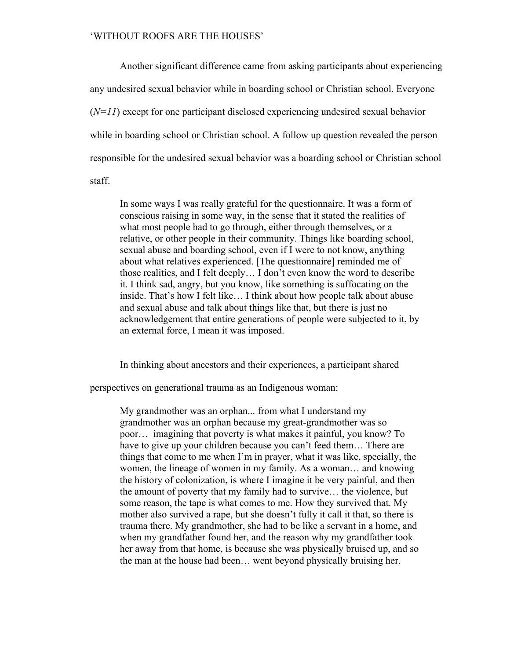Another significant difference came from asking participants about experiencing any undesired sexual behavior while in boarding school or Christian school. Everyone (*N=11*) except for one participant disclosed experiencing undesired sexual behavior while in boarding school or Christian school. A follow up question revealed the person responsible for the undesired sexual behavior was a boarding school or Christian school staff.

In some ways I was really grateful for the questionnaire. It was a form of conscious raising in some way, in the sense that it stated the realities of what most people had to go through, either through themselves, or a relative, or other people in their community. Things like boarding school, sexual abuse and boarding school, even if I were to not know, anything about what relatives experienced. [The questionnaire] reminded me of those realities, and I felt deeply… I don't even know the word to describe it. I think sad, angry, but you know, like something is suffocating on the inside. That's how I felt like… I think about how people talk about abuse and sexual abuse and talk about things like that, but there is just no acknowledgement that entire generations of people were subjected to it, by an external force, I mean it was imposed.

In thinking about ancestors and their experiences, a participant shared

perspectives on generational trauma as an Indigenous woman:

My grandmother was an orphan... from what I understand my grandmother was an orphan because my great-grandmother was so poor… imagining that poverty is what makes it painful, you know? To have to give up your children because you can't feed them... There are things that come to me when I'm in prayer, what it was like, specially, the women, the lineage of women in my family. As a woman… and knowing the history of colonization, is where I imagine it be very painful, and then the amount of poverty that my family had to survive… the violence, but some reason, the tape is what comes to me. How they survived that. My mother also survived a rape, but she doesn't fully it call it that, so there is trauma there. My grandmother, she had to be like a servant in a home, and when my grandfather found her, and the reason why my grandfather took her away from that home, is because she was physically bruised up, and so the man at the house had been… went beyond physically bruising her.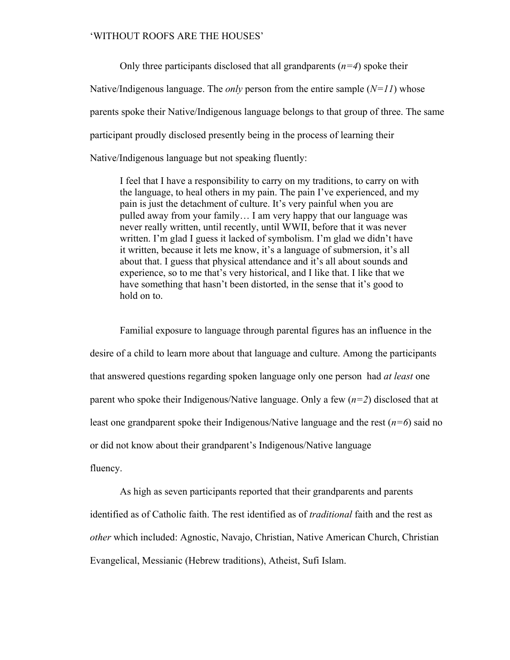Only three participants disclosed that all grandparents (*n=4*) spoke their Native/Indigenous language. The *only* person from the entire sample (*N=11*) whose parents spoke their Native/Indigenous language belongs to that group of three. The same participant proudly disclosed presently being in the process of learning their Native/Indigenous language but not speaking fluently:

I feel that I have a responsibility to carry on my traditions, to carry on with the language, to heal others in my pain. The pain I've experienced, and my pain is just the detachment of culture. It's very painful when you are pulled away from your family… I am very happy that our language was never really written, until recently, until WWII, before that it was never written. I'm glad I guess it lacked of symbolism. I'm glad we didn't have it written, because it lets me know, it's a language of submersion, it's all about that. I guess that physical attendance and it's all about sounds and experience, so to me that's very historical, and I like that. I like that we have something that hasn't been distorted, in the sense that it's good to hold on to.

Familial exposure to language through parental figures has an influence in the desire of a child to learn more about that language and culture. Among the participants that answered questions regarding spoken language only one person had *at least* one parent who spoke their Indigenous/Native language. Only a few (*n=2*) disclosed that at least one grandparent spoke their Indigenous/Native language and the rest  $(n=6)$  said no or did not know about their grandparent's Indigenous/Native language fluency.

As high as seven participants reported that their grandparents and parents identified as of Catholic faith. The rest identified as of *traditional* faith and the rest as *other* which included: Agnostic, Navajo, Christian, Native American Church, Christian Evangelical, Messianic (Hebrew traditions), Atheist, Sufi Islam.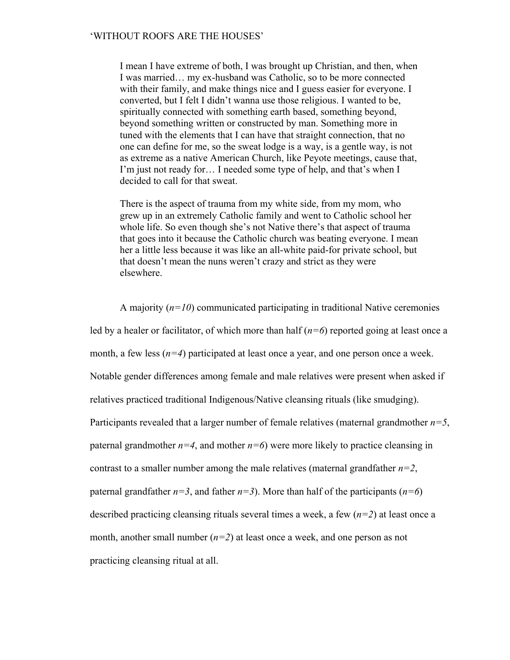I mean I have extreme of both, I was brought up Christian, and then, when I was married… my ex-husband was Catholic, so to be more connected with their family, and make things nice and I guess easier for everyone. I converted, but I felt I didn't wanna use those religious. I wanted to be, spiritually connected with something earth based, something beyond, beyond something written or constructed by man. Something more in tuned with the elements that I can have that straight connection, that no one can define for me, so the sweat lodge is a way, is a gentle way, is not as extreme as a native American Church, like Peyote meetings, cause that, I'm just not ready for… I needed some type of help, and that's when I decided to call for that sweat.

There is the aspect of trauma from my white side, from my mom, who grew up in an extremely Catholic family and went to Catholic school her whole life. So even though she's not Native there's that aspect of trauma that goes into it because the Catholic church was beating everyone. I mean her a little less because it was like an all-white paid-for private school, but that doesn't mean the nuns weren't crazy and strict as they were elsewhere.

A majority  $(n=10)$  communicated participating in traditional Native ceremonies led by a healer or facilitator, of which more than half (*n=6*) reported going at least once a month, a few less (*n=4*) participated at least once a year, and one person once a week. Notable gender differences among female and male relatives were present when asked if relatives practiced traditional Indigenous/Native cleansing rituals (like smudging). Participants revealed that a larger number of female relatives (maternal grandmother *n=5*, paternal grandmother  $n=4$ , and mother  $n=6$ ) were more likely to practice cleansing in contrast to a smaller number among the male relatives (maternal grandfather *n=2*, paternal grandfather  $n=3$ , and father  $n=3$ ). More than half of the participants ( $n=6$ ) described practicing cleansing rituals several times a week, a few (*n=2*) at least once a month, another small number (*n=2*) at least once a week, and one person as not practicing cleansing ritual at all.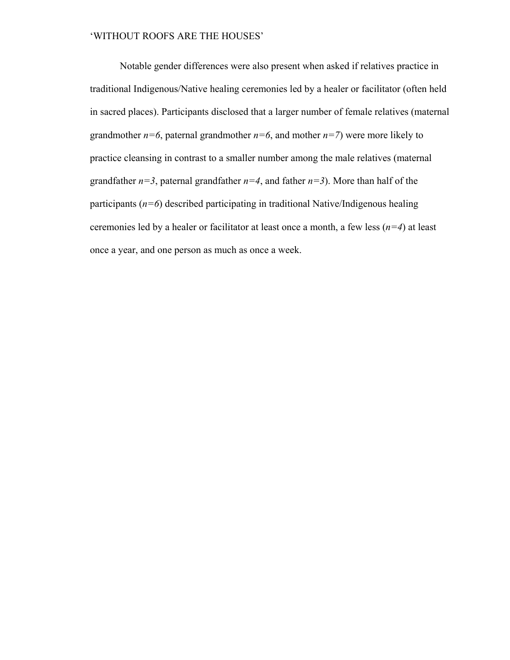Notable gender differences were also present when asked if relatives practice in traditional Indigenous/Native healing ceremonies led by a healer or facilitator (often held in sacred places). Participants disclosed that a larger number of female relatives (maternal grandmother  $n=6$ , paternal grandmother  $n=6$ , and mother  $n=7$ ) were more likely to practice cleansing in contrast to a smaller number among the male relatives (maternal grandfather  $n=3$ , paternal grandfather  $n=4$ , and father  $n=3$ ). More than half of the participants  $(n=6)$  described participating in traditional Native/Indigenous healing ceremonies led by a healer or facilitator at least once a month, a few less (*n=4*) at least once a year, and one person as much as once a week.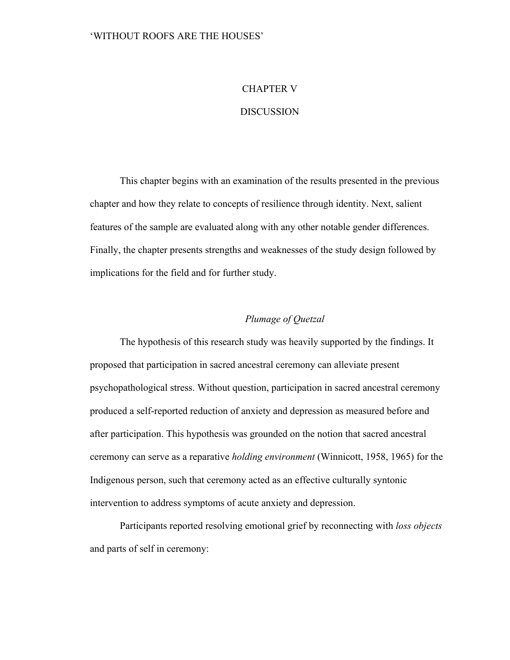## CHAPTER V

## **DISCUSSION**

This chapter begins with an examination of the results presented in the previous chapter and how they relate to concepts of resilience through identity. Next, salient features of the sample are evaluated along with any other notable gender differences. Finally, the chapter presents strengths and weaknesses of the study design followed by implications for the field and for further study.

## *Plumage of Quetzal*

The hypothesis of this research study was heavily supported by the findings. It proposed that participation in sacred ancestral ceremony can alleviate present psychopathological stress. Without question, participation in sacred ancestral ceremony produced a self-reported reduction of anxiety and depression as measured before and after participation. This hypothesis was grounded on the notion that sacred ancestral ceremony can serve as a reparative *holding environment* (Winnicott, 1958, 1965) for the Indigenous person, such that ceremony acted as an effective culturally syntonic intervention to address symptoms of acute anxiety and depression.

Participants reported resolving emotional grief by reconnecting with *loss objects* and parts of self in ceremony: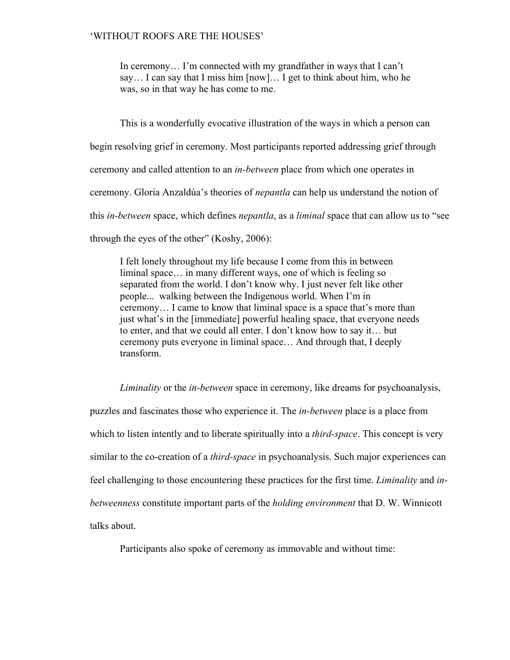In ceremony… I'm connected with my grandfather in ways that I can't say… I can say that I miss him [now]… I get to think about him, who he was, so in that way he has come to me.

This is a wonderfully evocative illustration of the ways in which a person can begin resolving grief in ceremony. Most participants reported addressing grief through ceremony and called attention to an *in-between* place from which one operates in ceremony. Gloria Anzaldúa's theories of *nepantla* can help us understand the notion of this *in-between* space, which defines *nepantla*, as a *liminal* space that can allow us to "see through the eyes of the other" (Koshy, 2006):

I felt lonely throughout my life because I come from this in between liminal space… in many different ways, one of which is feeling so separated from the world. I don't know why. I just never felt like other people... walking between the Indigenous world. When I'm in ceremony… I came to know that liminal space is a space that's more than just what's in the [immediate] powerful healing space, that everyone needs to enter, and that we could all enter. I don't know how to say it… but ceremony puts everyone in liminal space… And through that, I deeply transform.

*Liminality* or the *in-between* space in ceremony, like dreams for psychoanalysis,

puzzles and fascinates those who experience it. The *in-between* place is a place from which to listen intently and to liberate spiritually into a *third-space*. This concept is very similar to the co-creation of a *third-space* in psychoanalysis. Such major experiences can feel challenging to those encountering these practices for the first time. *Liminality* and *inbetweenness* constitute important parts of the *holding environment* that D. W. Winnicott talks about.

Participants also spoke of ceremony as immovable and without time: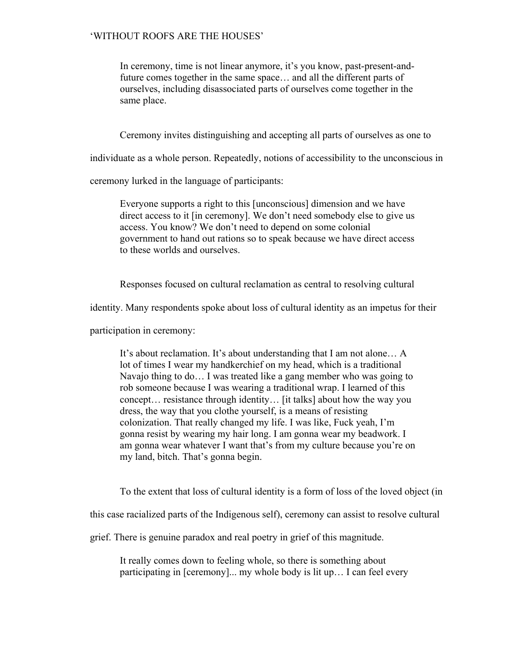In ceremony, time is not linear anymore, it's you know, past-present-andfuture comes together in the same space… and all the different parts of ourselves, including disassociated parts of ourselves come together in the same place.

Ceremony invites distinguishing and accepting all parts of ourselves as one to

individuate as a whole person. Repeatedly, notions of accessibility to the unconscious in

ceremony lurked in the language of participants:

Everyone supports a right to this [unconscious] dimension and we have direct access to it [in ceremony]. We don't need somebody else to give us access. You know? We don't need to depend on some colonial government to hand out rations so to speak because we have direct access to these worlds and ourselves.

Responses focused on cultural reclamation as central to resolving cultural

identity. Many respondents spoke about loss of cultural identity as an impetus for their

participation in ceremony:

It's about reclamation. It's about understanding that I am not alone… A lot of times I wear my handkerchief on my head, which is a traditional Navajo thing to do… I was treated like a gang member who was going to rob someone because I was wearing a traditional wrap. I learned of this concept… resistance through identity… [it talks] about how the way you dress, the way that you clothe yourself, is a means of resisting colonization. That really changed my life. I was like, Fuck yeah, I'm gonna resist by wearing my hair long. I am gonna wear my beadwork. I am gonna wear whatever I want that's from my culture because you're on my land, bitch. That's gonna begin.

To the extent that loss of cultural identity is a form of loss of the loved object (in

this case racialized parts of the Indigenous self), ceremony can assist to resolve cultural

grief. There is genuine paradox and real poetry in grief of this magnitude.

It really comes down to feeling whole, so there is something about participating in [ceremony]... my whole body is lit up… I can feel every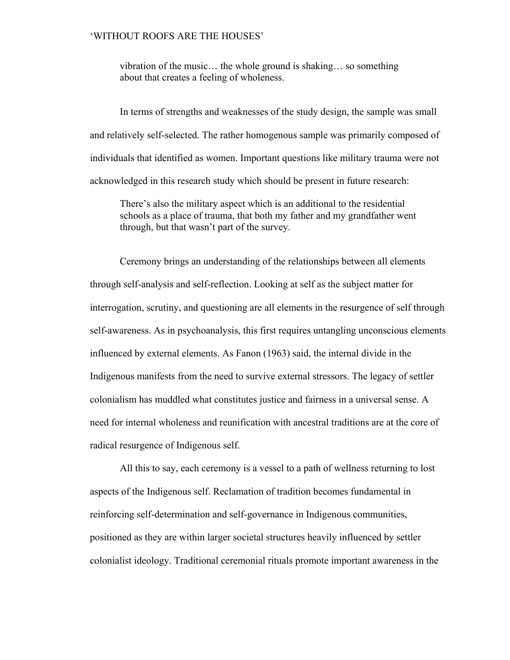vibration of the music… the whole ground is shaking… so something about that creates a feeling of wholeness.

In terms of strengths and weaknesses of the study design, the sample was small and relatively self-selected. The rather homogenous sample was primarily composed of individuals that identified as women. Important questions like military trauma were not acknowledged in this research study which should be present in future research:

There's also the military aspect which is an additional to the residential schools as a place of trauma, that both my father and my grandfather went through, but that wasn't part of the survey.

Ceremony brings an understanding of the relationships between all elements through self-analysis and self-reflection. Looking at self as the subject matter for interrogation, scrutiny, and questioning are all elements in the resurgence of self through self-awareness. As in psychoanalysis, this first requires untangling unconscious elements influenced by external elements. As Fanon (1963) said, the internal divide in the Indigenous manifests from the need to survive external stressors. The legacy of settler colonialism has muddled what constitutes justice and fairness in a universal sense. A need for internal wholeness and reunification with ancestral traditions are at the core of radical resurgence of Indigenous self.

All this to say, each ceremony is a vessel to a path of wellness returning to lost aspects of the Indigenous self. Reclamation of tradition becomes fundamental in reinforcing self-determination and self-governance in Indigenous communities, positioned as they are within larger societal structures heavily influenced by settler colonialist ideology. Traditional ceremonial rituals promote important awareness in the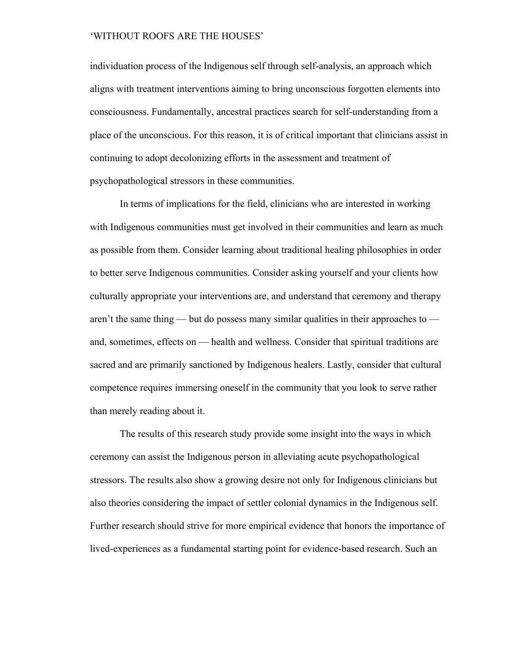individuation process of the Indigenous self through self-analysis, an approach which aligns with treatment interventions aiming to bring unconscious forgotten elements into consciousness. Fundamentally, ancestral practices search for self-understanding from a place of the unconscious. For this reason, it is of critical important that clinicians assist in continuing to adopt decolonizing efforts in the assessment and treatment of psychopathological stressors in these communities.

In terms of implications for the field, clinicians who are interested in working with Indigenous communities must get involved in their communities and learn as much as possible from them. Consider learning about traditional healing philosophies in order to better serve Indigenous communities. Consider asking yourself and your clients how culturally appropriate your interventions are, and understand that ceremony and therapy aren't the same thing — but do possess many similar qualities in their approaches to and, sometimes, effects on — health and wellness. Consider that spiritual traditions are sacred and are primarily sanctioned by Indigenous healers. Lastly, consider that cultural competence requires immersing oneself in the community that you look to serve rather than merely reading about it.

The results of this research study provide some insight into the ways in which ceremony can assist the Indigenous person in alleviating acute psychopathological stressors. The results also show a growing desire not only for Indigenous clinicians but also theories considering the impact of settler colonial dynamics in the Indigenous self. Further research should strive for more empirical evidence that honors the importance of lived-experiences as a fundamental starting point for evidence-based research. Such an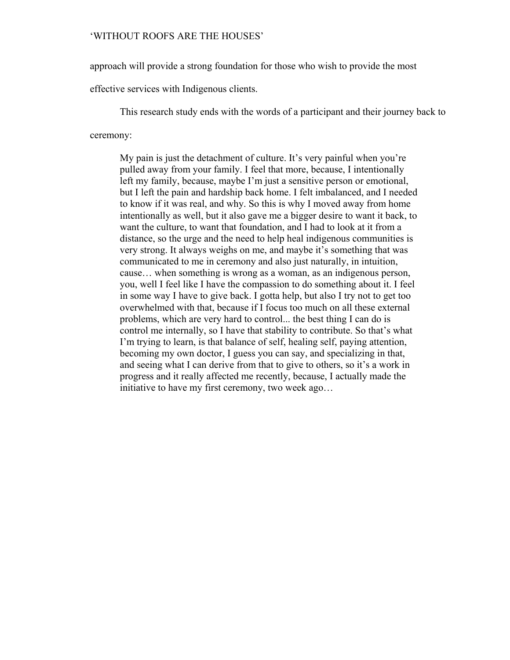approach will provide a strong foundation for those who wish to provide the most

effective services with Indigenous clients.

This research study ends with the words of a participant and their journey back to

#### ceremony:

My pain is just the detachment of culture. It's very painful when you're pulled away from your family. I feel that more, because, I intentionally left my family, because, maybe I'm just a sensitive person or emotional, but I left the pain and hardship back home. I felt imbalanced, and I needed to know if it was real, and why. So this is why I moved away from home intentionally as well, but it also gave me a bigger desire to want it back, to want the culture, to want that foundation, and I had to look at it from a distance, so the urge and the need to help heal indigenous communities is very strong. It always weighs on me, and maybe it's something that was communicated to me in ceremony and also just naturally, in intuition, cause… when something is wrong as a woman, as an indigenous person, you, well I feel like I have the compassion to do something about it. I feel in some way I have to give back. I gotta help, but also I try not to get too overwhelmed with that, because if I focus too much on all these external problems, which are very hard to control... the best thing I can do is control me internally, so I have that stability to contribute. So that's what I'm trying to learn, is that balance of self, healing self, paying attention, becoming my own doctor, I guess you can say, and specializing in that, and seeing what I can derive from that to give to others, so it's a work in progress and it really affected me recently, because, I actually made the initiative to have my first ceremony, two week ago…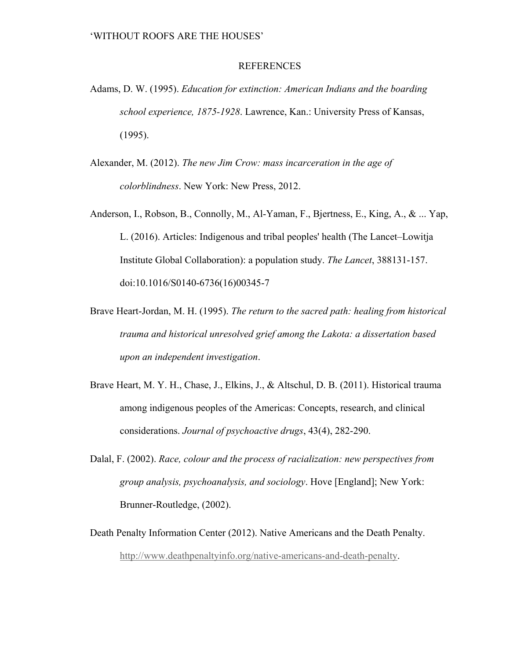#### REFERENCES

- Adams, D. W. (1995). *Education for extinction: American Indians and the boarding school experience, 1875-1928*. Lawrence, Kan.: University Press of Kansas, (1995).
- Alexander, M. (2012). *The new Jim Crow: mass incarceration in the age of colorblindness*. New York: New Press, 2012.
- Anderson, I., Robson, B., Connolly, M., Al-Yaman, F., Bjertness, E., King, A., & ... Yap, L. (2016). Articles: Indigenous and tribal peoples' health (The Lancet–Lowitja Institute Global Collaboration): a population study. *The Lancet*, 388131-157. doi:10.1016/S0140-6736(16)00345-7
- Brave Heart-Jordan, M. H. (1995). *The return to the sacred path: healing from historical trauma and historical unresolved grief among the Lakota: a dissertation based upon an independent investigation*.
- Brave Heart, M. Y. H., Chase, J., Elkins, J., & Altschul, D. B. (2011). Historical trauma among indigenous peoples of the Americas: Concepts, research, and clinical considerations. *Journal of psychoactive drugs*, 43(4), 282-290.
- Dalal, F. (2002). *Race, colour and the process of racialization: new perspectives from group analysis, psychoanalysis, and sociology*. Hove [England]; New York: Brunner-Routledge, (2002).
- Death Penalty Information Center (2012). Native Americans and the Death Penalty. http://www.deathpenaltyinfo.org/native-americans-and-death-penalty.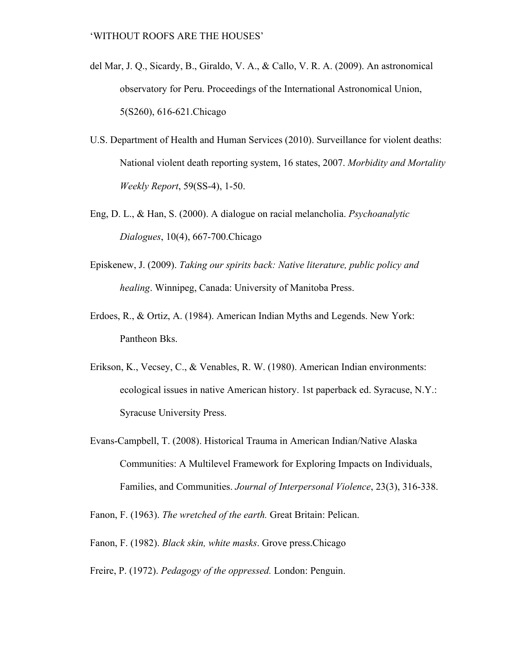- del Mar, J. Q., Sicardy, B., Giraldo, V. A., & Callo, V. R. A. (2009). An astronomical observatory for Peru. Proceedings of the International Astronomical Union, 5(S260), 616-621.Chicago
- U.S. Department of Health and Human Services (2010). Surveillance for violent deaths: National violent death reporting system, 16 states, 2007. *Morbidity and Mortality Weekly Report*, 59(SS-4), 1-50.
- Eng, D. L., & Han, S. (2000). A dialogue on racial melancholia. *Psychoanalytic Dialogues*, 10(4), 667-700.Chicago
- Episkenew, J. (2009). *Taking our spirits back: Native literature, public policy and healing*. Winnipeg, Canada: University of Manitoba Press.
- Erdoes, R., & Ortiz, A. (1984). American Indian Myths and Legends. New York: Pantheon Bks.
- Erikson, K., Vecsey, C., & Venables, R. W. (1980). American Indian environments: ecological issues in native American history. 1st paperback ed. Syracuse, N.Y.: Syracuse University Press.
- Evans-Campbell, T. (2008). Historical Trauma in American Indian/Native Alaska Communities: A Multilevel Framework for Exploring Impacts on Individuals, Families, and Communities. *Journal of Interpersonal Violence*, 23(3), 316-338.

Fanon, F. (1963). *The wretched of the earth.* Great Britain: Pelican.

Fanon, F. (1982). *Black skin, white masks*. Grove press.Chicago

Freire, P. (1972). *Pedagogy of the oppressed.* London: Penguin.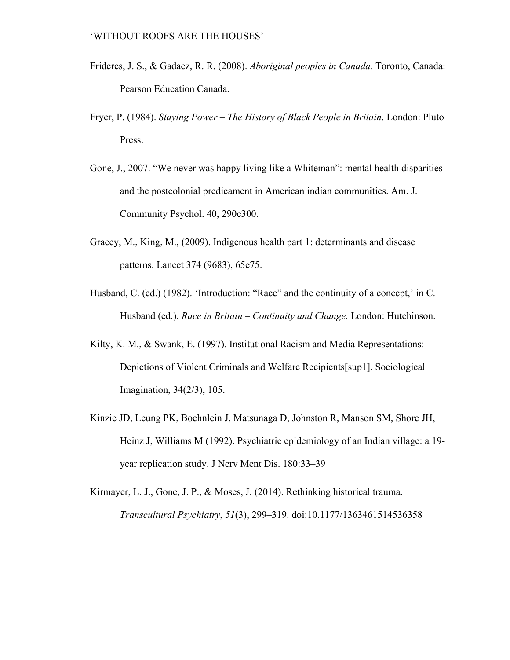- Frideres, J. S., & Gadacz, R. R. (2008). *Aboriginal peoples in Canada*. Toronto, Canada: Pearson Education Canada.
- Fryer, P. (1984). *Staying Power The History of Black People in Britain*. London: Pluto Press.
- Gone, J., 2007. "We never was happy living like a Whiteman": mental health disparities and the postcolonial predicament in American indian communities. Am. J. Community Psychol. 40, 290e300.
- Gracey, M., King, M., (2009). Indigenous health part 1: determinants and disease patterns. Lancet 374 (9683), 65e75.
- Husband, C. (ed.) (1982). 'Introduction: "Race" and the continuity of a concept,' in C. Husband (ed.). *Race in Britain – Continuity and Change.* London: Hutchinson.
- Kilty, K. M., & Swank, E. (1997). Institutional Racism and Media Representations: Depictions of Violent Criminals and Welfare Recipients[sup1]. Sociological Imagination, 34(2/3), 105.
- Kinzie JD, Leung PK, Boehnlein J, Matsunaga D, Johnston R, Manson SM, Shore JH, Heinz J, Williams M (1992). Psychiatric epidemiology of an Indian village: a 19 year replication study. J Nerv Ment Dis. 180:33–39
- Kirmayer, L. J., Gone, J. P., & Moses, J. (2014). Rethinking historical trauma. *Transcultural Psychiatry*, *51*(3), 299–319. doi:10.1177/1363461514536358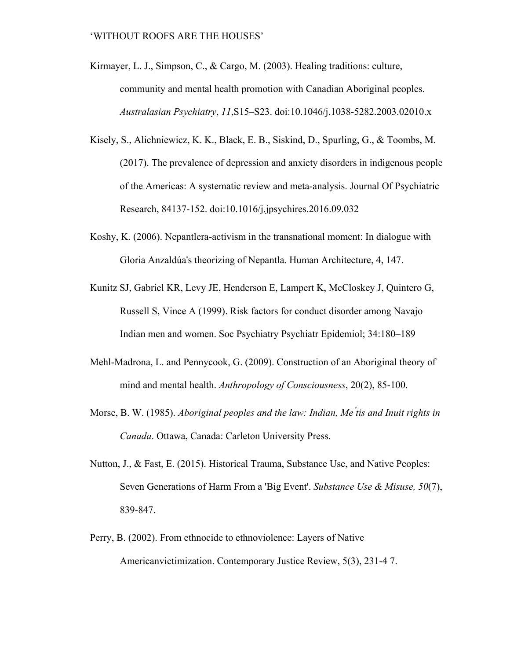- Kirmayer, L. J., Simpson, C., & Cargo, M. (2003). Healing traditions: culture, community and mental health promotion with Canadian Aboriginal peoples. *Australasian Psychiatry*, *11*,S15–S23. doi:10.1046/j.1038-5282.2003.02010.x
- Kisely, S., Alichniewicz, K. K., Black, E. B., Siskind, D., Spurling, G., & Toombs, M. (2017). The prevalence of depression and anxiety disorders in indigenous people of the Americas: A systematic review and meta-analysis. Journal Of Psychiatric Research, 84137-152. doi:10.1016/j.jpsychires.2016.09.032
- Koshy, K. (2006). Nepantlera-activism in the transnational moment: In dialogue with Gloria Anzaldúa's theorizing of Nepantla. Human Architecture, 4, 147.
- Kunitz SJ, Gabriel KR, Levy JE, Henderson E, Lampert K, McCloskey J, Quintero G, Russell S, Vince A (1999). Risk factors for conduct disorder among Navajo Indian men and women. Soc Psychiatry Psychiatr Epidemiol; 34:180–189
- Mehl-Madrona, L. and Pennycook, G. (2009). Construction of an Aboriginal theory of mind and mental health. *Anthropology of Consciousness*, 20(2), 85-100.
- Morse, B. W. (1985). *Aboriginal peoples and the law: Indian, Me ́tis and Inuit rights in Canada*. Ottawa, Canada: Carleton University Press.
- Nutton, J., & Fast, E. (2015). Historical Trauma, Substance Use, and Native Peoples: Seven Generations of Harm From a 'Big Event'. *Substance Use & Misuse, 50*(7), 839-847.
- Perry, B. (2002). From ethnocide to ethnoviolence: Layers of Native Americanvictimization. Contemporary Justice Review, 5(3), 231-4 7.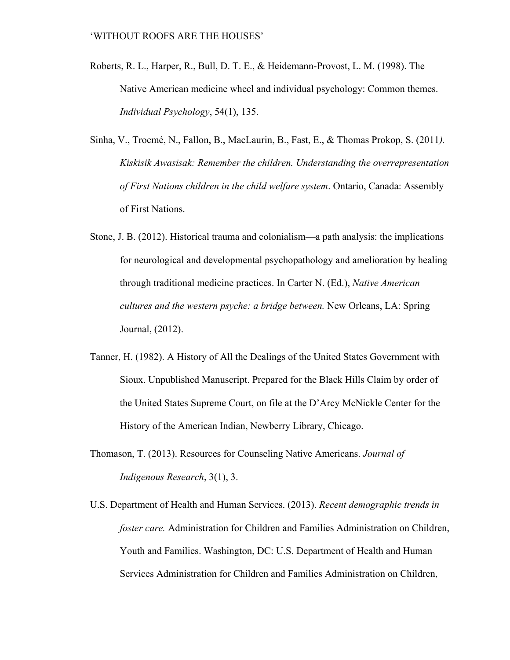- Roberts, R. L., Harper, R., Bull, D. T. E., & Heidemann-Provost, L. M. (1998). The Native American medicine wheel and individual psychology: Common themes. *Individual Psychology*, 54(1), 135.
- Sinha, V., Trocmé, N., Fallon, B., MacLaurin, B., Fast, E., & Thomas Prokop, S. (2011*). Kiskisik Awasisak: Remember the children. Understanding the overrepresentation of First Nations children in the child welfare system*. Ontario, Canada: Assembly of First Nations.
- Stone, J. B. (2012). Historical trauma and colonialism—a path analysis: the implications for neurological and developmental psychopathology and amelioration by healing through traditional medicine practices. In Carter N. (Ed.), *Native American cultures and the western psyche: a bridge between.* New Orleans, LA: Spring Journal, (2012).
- Tanner, H. (1982). A History of All the Dealings of the United States Government with Sioux. Unpublished Manuscript. Prepared for the Black Hills Claim by order of the United States Supreme Court, on file at the D'Arcy McNickle Center for the History of the American Indian, Newberry Library, Chicago.
- Thomason, T. (2013). Resources for Counseling Native Americans. *Journal of Indigenous Research*, 3(1), 3.
- U.S. Department of Health and Human Services. (2013). *Recent demographic trends in foster care.* Administration for Children and Families Administration on Children, Youth and Families. Washington, DC: U.S. Department of Health and Human Services Administration for Children and Families Administration on Children,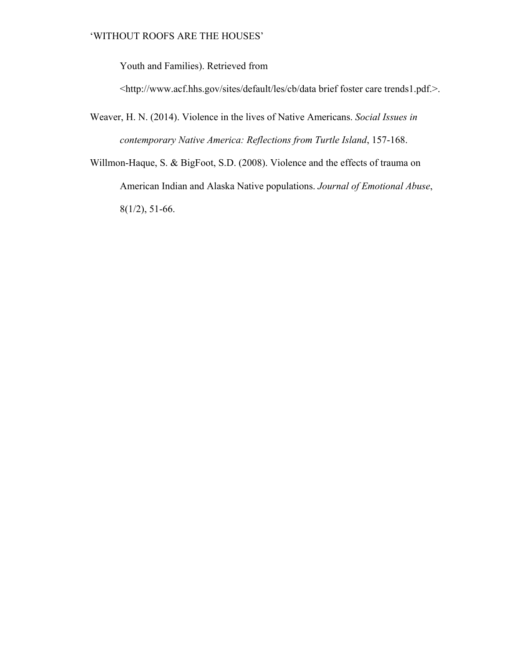Youth and Families). Retrieved from

<http://www.acf.hhs.gov/sites/default/les/cb/data brief foster care trends1.pdf.>.

- Weaver, H. N. (2014). Violence in the lives of Native Americans. *Social Issues in contemporary Native America: Reflections from Turtle Island*, 157-168.
- Willmon-Haque, S. & BigFoot, S.D. (2008). Violence and the effects of trauma on American Indian and Alaska Native populations. *Journal of Emotional Abuse*, 8(1/2), 51-66.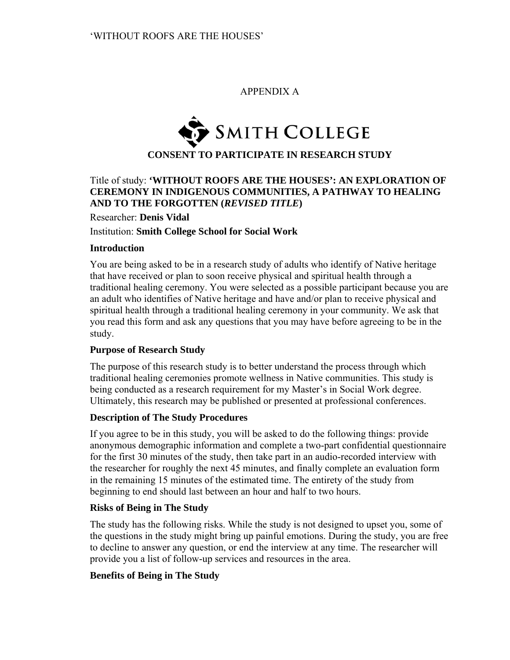### APPENDIX A



# Title of study: **'WITHOUT ROOFS ARE THE HOUSES': AN EXPLORATION OF CEREMONY IN INDIGENOUS COMMUNITIES, A PATHWAY TO HEALING AND TO THE FORGOTTEN (***REVISED TITLE***)**

Researcher: **Denis Vidal**  Institution: **Smith College School for Social Work**

### **Introduction**

You are being asked to be in a research study of adults who identify of Native heritage that have received or plan to soon receive physical and spiritual health through a traditional healing ceremony. You were selected as a possible participant because you are an adult who identifies of Native heritage and have and/or plan to receive physical and spiritual health through a traditional healing ceremony in your community. We ask that you read this form and ask any questions that you may have before agreeing to be in the study.

### **Purpose of Research Study**

The purpose of this research study is to better understand the process through which traditional healing ceremonies promote wellness in Native communities. This study is being conducted as a research requirement for my Master's in Social Work degree. Ultimately, this research may be published or presented at professional conferences.

### **Description of The Study Procedures**

If you agree to be in this study, you will be asked to do the following things: provide anonymous demographic information and complete a two-part confidential questionnaire for the first 30 minutes of the study, then take part in an audio-recorded interview with the researcher for roughly the next 45 minutes, and finally complete an evaluation form in the remaining 15 minutes of the estimated time. The entirety of the study from beginning to end should last between an hour and half to two hours.

### **Risks of Being in The Study**

The study has the following risks. While the study is not designed to upset you, some of the questions in the study might bring up painful emotions. During the study, you are free to decline to answer any question, or end the interview at any time. The researcher will provide you a list of follow-up services and resources in the area.

### **Benefits of Being in The Study**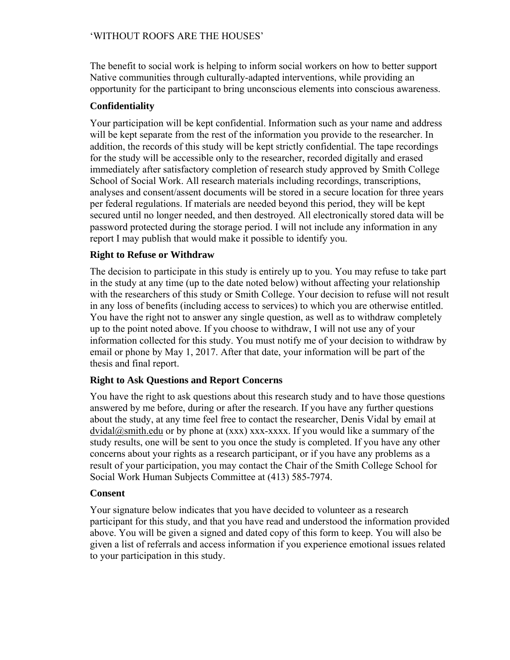The benefit to social work is helping to inform social workers on how to better support Native communities through culturally-adapted interventions, while providing an opportunity for the participant to bring unconscious elements into conscious awareness.

# **Confidentiality**

Your participation will be kept confidential. Information such as your name and address will be kept separate from the rest of the information you provide to the researcher. In addition, the records of this study will be kept strictly confidential. The tape recordings for the study will be accessible only to the researcher, recorded digitally and erased immediately after satisfactory completion of research study approved by Smith College School of Social Work. All research materials including recordings, transcriptions, analyses and consent/assent documents will be stored in a secure location for three years per federal regulations. If materials are needed beyond this period, they will be kept secured until no longer needed, and then destroyed. All electronically stored data will be password protected during the storage period. I will not include any information in any report I may publish that would make it possible to identify you.

# **Right to Refuse or Withdraw**

The decision to participate in this study is entirely up to you. You may refuse to take part in the study at any time (up to the date noted below) without affecting your relationship with the researchers of this study or Smith College. Your decision to refuse will not result in any loss of benefits (including access to services) to which you are otherwise entitled. You have the right not to answer any single question, as well as to withdraw completely up to the point noted above. If you choose to withdraw, I will not use any of your information collected for this study. You must notify me of your decision to withdraw by email or phone by May 1, 2017. After that date, your information will be part of the thesis and final report.

# **Right to Ask Questions and Report Concerns**

You have the right to ask questions about this research study and to have those questions answered by me before, during or after the research. If you have any further questions about the study, at any time feel free to contact the researcher, Denis Vidal by email at  $dvidal@smith.edu$  or by phone at  $(xxx)$  xxx-xxxx. If you would like a summary of the study results, one will be sent to you once the study is completed. If you have any other concerns about your rights as a research participant, or if you have any problems as a result of your participation, you may contact the Chair of the Smith College School for Social Work Human Subjects Committee at (413) 585-7974.

# **Consent**

Your signature below indicates that you have decided to volunteer as a research participant for this study, and that you have read and understood the information provided above. You will be given a signed and dated copy of this form to keep. You will also be given a list of referrals and access information if you experience emotional issues related to your participation in this study.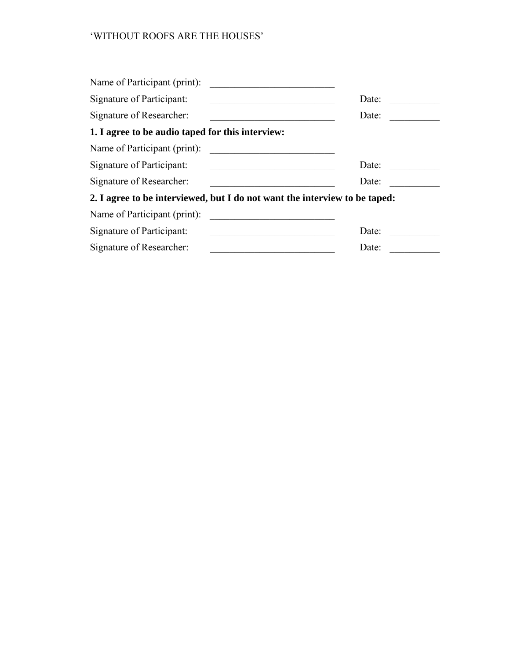| Name of Participant (print):                                               |       |
|----------------------------------------------------------------------------|-------|
| Signature of Participant:                                                  | Date: |
| Signature of Researcher:                                                   | Date: |
| 1. I agree to be audio taped for this interview:                           |       |
| Name of Participant (print):                                               |       |
| Signature of Participant:                                                  | Date: |
| Signature of Researcher:                                                   | Date: |
| 2. I agree to be interviewed, but I do not want the interview to be taped: |       |
| Name of Participant (print):                                               |       |
| Signature of Participant:                                                  | Date: |
| Signature of Researcher:                                                   | Date: |
|                                                                            |       |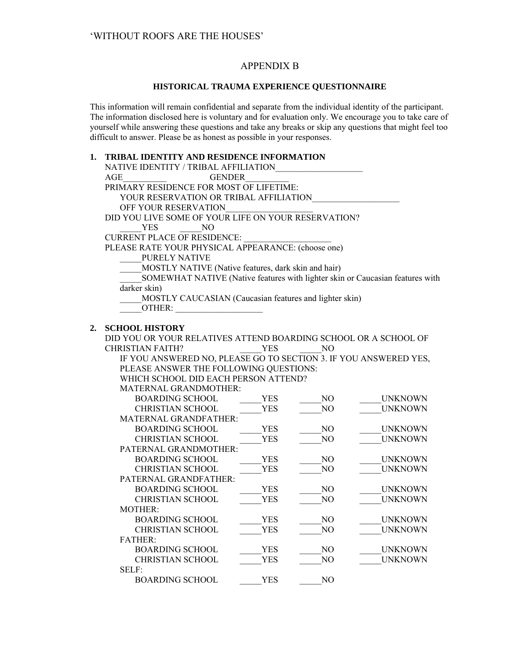# APPENDIX B

### **HISTORICAL TRAUMA EXPERIENCE QUESTIONNAIRE**

This information will remain confidential and separate from the individual identity of the participant. The information disclosed here is voluntary and for evaluation only. We encourage you to take care of yourself while answering these questions and take any breaks or skip any questions that might feel too difficult to answer. Please be as honest as possible in your responses.

### **1. TRIBAL IDENTITY AND RESIDENCE INFORMATION**

|    | NATIVE IDENTITY / TRIBAL AFFILIATION                                          |            |                |                |
|----|-------------------------------------------------------------------------------|------------|----------------|----------------|
|    | AGE<br><b>GENDER</b>                                                          |            |                |                |
|    | PRIMARY RESIDENCE FOR MOST OF LIFETIME:                                       |            |                |                |
|    | YOUR RESERVATION OR TRIBAL AFFILIATION                                        |            |                |                |
|    | OFF YOUR RESERVATION                                                          |            |                |                |
|    | DID YOU LIVE SOME OF YOUR LIFE ON YOUR RESERVATION?                           |            |                |                |
|    | <b>YES</b><br>N <sub>O</sub>                                                  |            |                |                |
|    | <b>CURRENT PLACE OF RESIDENCE:</b>                                            |            |                |                |
|    | PLEASE RATE YOUR PHYSICAL APPEARANCE: (choose one)                            |            |                |                |
|    | PURELY NATIVE                                                                 |            |                |                |
|    | MOSTLY NATIVE (Native features, dark skin and hair)                           |            |                |                |
|    | SOMEWHAT NATIVE (Native features with lighter skin or Caucasian features with |            |                |                |
|    | darker skin)                                                                  |            |                |                |
|    | MOSTLY CAUCASIAN (Caucasian features and lighter skin)                        |            |                |                |
|    | OTHER:                                                                        |            |                |                |
|    |                                                                               |            |                |                |
| 2. | <b>SCHOOL HISTORY</b>                                                         |            |                |                |
|    | DID YOU OR YOUR RELATIVES ATTEND BOARDING SCHOOL OR A SCHOOL OF               |            |                |                |
|    | <b>CHRISTIAN FAITH?</b>                                                       | <b>YES</b> | N <sub>O</sub> |                |
|    | IF YOU ANSWERED NO, PLEASE GO TO SECTION 3. IF YOU ANSWERED YES,              |            |                |                |
|    | PLEASE ANSWER THE FOLLOWING QUESTIONS:                                        |            |                |                |
|    | WHICH SCHOOL DID EACH PERSON ATTEND?                                          |            |                |                |
|    | MATERNAL GRANDMOTHER:                                                         |            |                |                |
|    | <b>BOARDING SCHOOL</b>                                                        | <b>YES</b> | NO.            | <b>UNKNOWN</b> |
|    | <b>CHRISTIAN SCHOOL</b>                                                       | <b>YES</b> | NO             | <b>UNKNOWN</b> |
|    | MATERNAL GRANDFATHER:                                                         |            |                |                |
|    | <b>BOARDING SCHOOL</b>                                                        | <b>YES</b> | NO             | <b>UNKNOWN</b> |
|    | <b>CHRISTIAN SCHOOL</b>                                                       | <b>YES</b> | N <sub>O</sub> | <b>UNKNOWN</b> |
|    | PATERNAL GRANDMOTHER:                                                         |            |                |                |
|    | <b>BOARDING SCHOOL</b>                                                        | <b>YES</b> | NO             | <b>UNKNOWN</b> |
|    | <b>CHRISTIAN SCHOOL</b>                                                       | <b>YES</b> | NO             | <b>UNKNOWN</b> |
|    | PATERNAL GRANDFATHER:                                                         |            |                |                |
|    | <b>BOARDING SCHOOL</b>                                                        | <b>YES</b> | NO             | <b>UNKNOWN</b> |
|    | <b>CHRISTIAN SCHOOL</b>                                                       | <b>YES</b> | NO             | <b>UNKNOWN</b> |
|    | <b>MOTHER:</b>                                                                |            |                |                |
|    | <b>BOARDING SCHOOL</b>                                                        | <b>YES</b> | NO.            | <b>UNKNOWN</b> |
|    | <b>CHRISTIAN SCHOOL</b>                                                       | <b>YES</b> | NO             | <b>UNKNOWN</b> |
|    | <b>FATHER:</b>                                                                |            |                |                |
|    | <b>BOARDING SCHOOL</b>                                                        | <b>YES</b> | NO             | <b>UNKNOWN</b> |
|    | <b>CHRISTIAN SCHOOL</b>                                                       | <b>YES</b> | NO             | <b>UNKNOWN</b> |
|    | SELF:                                                                         |            |                |                |
|    | <b>BOARDING SCHOOL</b>                                                        | <b>YES</b> | N <sub>O</sub> |                |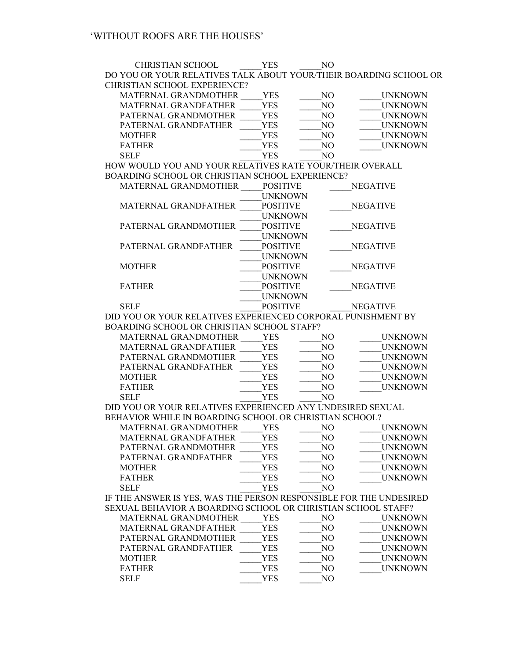CHRISTIAN SCHOOL \_\_\_\_\_YES \_\_\_\_\_NO DO YOU OR YOUR RELATIVES TALK ABOUT YOUR/THEIR BOARDING SCHOOL OR CHRISTIAN SCHOOL EXPERIENCE?

| MATERNAL GRANDMOTHER | YES | NΟ | <b>UNKNOWN</b> |
|----------------------|-----|----|----------------|
| MATERNAL GRANDFATHER | YES | NO | <b>UNKNOWN</b> |
| PATERNAL GRANDMOTHER | YES | NΟ | <b>UNKNOWN</b> |
| PATERNAL GRANDFATHER | YES | NO | <b>UNKNOWN</b> |
| <b>MOTHER</b>        | YES | NO | <b>UNKNOWN</b> |
| <b>FATHER</b>        | YES | NO | <b>UNKNOWN</b> |
| SEL F                | YFS | NΩ |                |
|                      |     |    |                |

HOW WOULD YOU AND YOUR RELATIVES RATE YOUR/THEIR OVERALL BOARDING SCHOOL OR CHRISTIAN SCHOOL EXPERIENCE?

| <b>MATERNAL GRANDMOTHER</b>                                           | <b>POSITIVE</b> | <b>NEGATIVE</b> |
|-----------------------------------------------------------------------|-----------------|-----------------|
|                                                                       | <b>UNKNOWN</b>  |                 |
| MATERNAL GRANDFATHER                                                  | <b>POSITIVE</b> | <b>NEGATIVE</b> |
|                                                                       | <b>UNKNOWN</b>  |                 |
| PATERNAL GRANDMOTHER                                                  | <b>POSITIVE</b> | <b>NEGATIVE</b> |
|                                                                       | <b>UNKNOWN</b>  |                 |
| PATERNAL GRANDFATHER                                                  | <b>POSITIVE</b> | <b>NEGATIVE</b> |
|                                                                       | <b>UNKNOWN</b>  |                 |
| <b>MOTHER</b>                                                         | <b>POSITIVE</b> | <b>NEGATIVE</b> |
|                                                                       | <b>UNKNOWN</b>  |                 |
| <b>FATHER</b>                                                         | <b>POSITIVE</b> | <b>NEGATIVE</b> |
|                                                                       | <b>UNKNOWN</b>  |                 |
| <b>SELF</b>                                                           | <b>POSITIVE</b> | <b>NEGATIVE</b> |
| <u>nin tioti on tiotin nprumupuntharpurung aonnonus niniiain (pur</u> |                 |                 |

DID YOU OR YOUR RELATIVES EXPERIENCED CORPORAL PUNISHMENT BY BOARDING SCHOOL OR CHRISTIAN SCHOOL STAFF?

| MATERNAL GRANDMOTHER        | YES   | NО | UNKNOWN        |
|-----------------------------|-------|----|----------------|
| <b>MATERNAL GRANDFATHER</b> | YES   | NO | <b>UNKNOWN</b> |
| PATERNAL GRANDMOTHER        | YES   | NО | <b>UNKNOWN</b> |
| PATERNAL GRANDFATHER        | YES   | NΟ | <b>UNKNOWN</b> |
| <b>MOTHER</b>               | YES   | NΟ | <b>UNKNOWN</b> |
| <b>FATHER</b>               | YES   | NΟ | <b>UNKNOWN</b> |
| SEL E                       | 7 F S |    |                |

DID YOU OR YOUR RELATIVES EXPERIENCED ANY UNDESIRED SEXUAL BEHAVIOR WHILE IN BOARDING SCHOOL OR CHRISTIAN SCHOOL?

| YES | NO | UNKNOWN        |
|-----|----|----------------|
| YES | NО | <b>UNKNOWN</b> |
| YES | NО | <b>UNKNOWN</b> |
| YES | NО | <b>UNKNOWN</b> |
| YES | NО | UNKNOWN        |
| YES | NО | <b>UNKNOWN</b> |
| YES | NΩ |                |
|     |    |                |

IF THE ANSWER IS YES, WAS THE PERSON RESPONSIBLE FOR THE UNDESIRED SEXUAL BEHAVIOR A BOARDING SCHOOL OR CHRISTIAN SCHOOL STAFF?

| MATERNAL GRANDMOTHER        | YES | NO | <b>UNKNOWN</b> |
|-----------------------------|-----|----|----------------|
| <b>MATERNAL GRANDFATHER</b> | YES | NO | <b>UNKNOWN</b> |
| PATERNAL GRANDMOTHER        | YES | NО | <b>UNKNOWN</b> |
| PATERNAL GRANDFATHER        | YES | NO | <b>UNKNOWN</b> |
| <b>MOTHER</b>               | YES | NΟ | <b>UNKNOWN</b> |
| <b>FATHER</b>               | YES | NΟ | <b>UNKNOWN</b> |
| SEI F                       | YES | NΩ |                |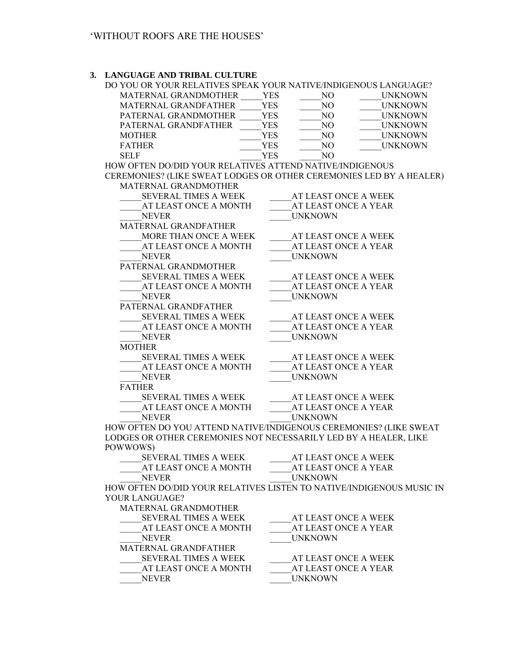#### **3. LANGUAGE AND TRIBAL CULTURE**

| DO YOU OR YOUR RELATIVES SPEAK YOUR NATIVE/INDIGENOUS LANGUAGE? |     |     |                |
|-----------------------------------------------------------------|-----|-----|----------------|
| <b>MATERNAL GRANDMOTHER</b>                                     | YES | NO  | <b>UNKNOWN</b> |
| <b>MATERNAL GRANDFATHER</b>                                     | YES | NO  | <b>UNKNOWN</b> |
| PATERNAL GRANDMOTHER                                            | YES | NO  | <b>UNKNOWN</b> |
| PATERNAL GRANDFATHER                                            | YES | NO. | <b>UNKNOWN</b> |
| <b>MOTHER</b>                                                   | YES | NΟ  | <b>UNKNOWN</b> |
| <b>FATHER</b>                                                   | YES | NΟ  | <b>UNKNOWN</b> |
| SEL F                                                           | YES |     |                |

HOW OFTEN DO/DID YOUR RELATIVES ATTEND NATIVE/INDIGENOUS CEREMONIES? (LIKE SWEAT LODGES OR OTHER CEREMONIES LED BY A HEALER)

| <b>MATERNAL GRANDMOTHER</b>                                      |                                                                      |
|------------------------------------------------------------------|----------------------------------------------------------------------|
| <b>SEVERAL TIMES A WEEK</b>                                      | AT LEAST ONCE A WEEK                                                 |
| AT LEAST ONCE A MONTH                                            | AT LEAST ONCE A YEAR                                                 |
| <b>NEVER</b>                                                     | <b>UNKNOWN</b>                                                       |
| MATERNAL GRANDFATHER                                             |                                                                      |
| MORE THAN ONCE A WEEK                                            | AT LEAST ONCE A WEEK                                                 |
| AT LEAST ONCE A MONTH                                            | AT LEAST ONCE A YEAR                                                 |
| <b>NEVER</b>                                                     | <b>UNKNOWN</b>                                                       |
| PATERNAL GRANDMOTHER                                             |                                                                      |
| <b>SEVERAL TIMES A WEEK</b>                                      | AT LEAST ONCE A WEEK                                                 |
| AT LEAST ONCE A MONTH                                            | AT LEAST ONCE A YEAR                                                 |
| <b>NEVER</b>                                                     | <b>UNKNOWN</b>                                                       |
| PATERNAL GRANDFATHER                                             |                                                                      |
| SEVERAL TIMES A WEEK                                             | AT LEAST ONCE A WEEK                                                 |
| AT LEAST ONCE A MONTH                                            | AT LEAST ONCE A YEAR                                                 |
| <b>NEVER</b>                                                     | UNKNOWN                                                              |
| <b>MOTHER</b>                                                    |                                                                      |
| <b>SEVERAL TIMES A WEEK</b>                                      | AT LEAST ONCE A WEEK                                                 |
| AT LEAST ONCE A MONTH                                            | AT LEAST ONCE A YEAR                                                 |
| <b>NEVER</b>                                                     | <b>UNKNOWN</b>                                                       |
| <b>FATHER</b>                                                    |                                                                      |
| SEVERAL TIMES A WEEK                                             | AT LEAST ONCE A WEEK                                                 |
| AT LEAST ONCE A MONTH                                            | AT LEAST ONCE A YEAR                                                 |
| <b>NEVER</b>                                                     | <b>UNKNOWN</b>                                                       |
|                                                                  | HOW OFTEN DO YOU ATTEND NATIVE/INDIGENOUS CEREMONIES? (LIKE SWEAT    |
| LODGES OR OTHER CEREMONIES NOT NECESSARILY LED BY A HEALER, LIKE |                                                                      |
| POWWOWS)                                                         |                                                                      |
| SEVERAL TIMES A WEEK                                             | AT LEAST ONCE A WEEK                                                 |
| AT LEAST ONCE A MONTH                                            | AT LEAST ONCE A YEAR                                                 |
| <b>NEVER</b>                                                     | <b>UNKNOWN</b>                                                       |
|                                                                  | HOW OFTEN DO/DID YOUR RELATIVES LISTEN TO NATIVE/INDIGENOUS MUSIC IN |
| YOUR LANGUAGE?                                                   |                                                                      |
| MATERNAL GRANDMOTHER                                             |                                                                      |
| <b>SEVERAL TIMES A WEEK</b>                                      | AT LEAST ONCE A WEEK                                                 |
| AT LEAST ONCE A MONTH                                            | AT LEAST ONCE A YEAR                                                 |
| <b>NEVER</b>                                                     | <b>UNKNOWN</b>                                                       |
| MATERNAL GRANDFATHER                                             |                                                                      |
| SEVERAL TIMES A WEEK                                             | AT LEAST ONCE A WEEK                                                 |
| AT LEAST ONCE A MONTH                                            | AT LEAST ONCE A YEAR                                                 |
| <b>NEVER</b>                                                     | <b>UNKNOWN</b>                                                       |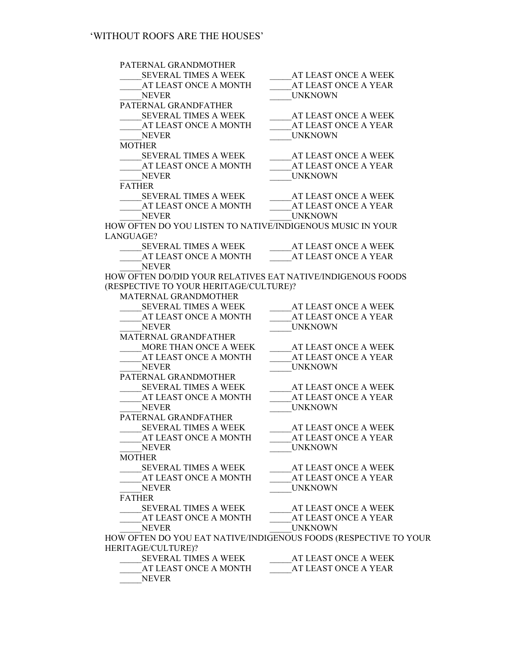PATERNAL GRANDMOTHER \_\_\_\_\_SEVERAL TIMES A WEEK \_\_\_\_\_AT LEAST ONCE A WEEK AT LEAST ONCE A MONTH AT LEAST ONCE A YEAR NEVER UNKNOWN PATERNAL GRANDFATHER SEVERAL TIMES A WEEK AT LEAST ONCE A WEEK AT LEAST ONCE A MONTH AT LEAST ONCE A YEAR NEVER UNKNOWN MOTHER SEVERAL TIMES A WEEK AT LEAST ONCE A WEEK  $_{\_}$ AT LEAST ONCE A MONTH  $_{\_}$  AT LEAST ONCE A YEAR NEVER UNKNOWN FATHER \_\_\_\_\_SEVERAL TIMES A WEEK \_\_\_\_\_AT LEAST ONCE A WEEK AT LEAST ONCE A YEAR NEVER UNKNOWN HOW OFTEN DO YOU LISTEN TO NATIVE/INDIGENOUS MUSIC IN YOUR LANGUAGE?  $\begin{array}{lll} \text{SEVERAL TIMES A WEEK} & \text{AT LEAST ONCE A WEEK} \end{array}$ AT LEAST ONCE A MONTH AT LEAST ONCE A YEAR \_\_\_\_\_NEVER HOW OFTEN DO/DID YOUR RELATIVES EAT NATIVE/INDIGENOUS FOODS (RESPECTIVE TO YOUR HERITAGE/CULTURE)? MATERNAL GRANDMOTHER \_\_\_\_\_SEVERAL TIMES A WEEK \_\_\_\_\_AT LEAST ONCE A WEEK  $\_\_\_\$ AT LEAST ONCE A YEAR NEVER UNKNOWN MATERNAL GRANDFATHER \_\_MORE THAN ONCE A WEEK \_\_\_\_\_\_\_\_AT LEAST ONCE A WEEK<br>AT LEAST ONCE A MONTH \_\_\_\_\_\_\_\_AT LEAST ONCE A YEAR AT LEAST ONCE A YEAR NEVER UNKNOWN PATERNAL GRANDMOTHER<br>SEVERAL TIMES A WEEK  $\overline{\phantom{a}}$  AT LEAST ONCE A WEEK  $_{\rm A}$ T LEAST ONCE A MONTH  $_{\rm A}$ T LEAST ONCE A YEAR NEVER UNKNOWN PATERNAL GRANDFATHER SEVERAL TIMES A WEEK AT LEAST ONCE A WEEK AT LEAST ONCE A MONTH AT LEAST ONCE A YEAR NEVER UNKNOWN MOTHER<br>SEVERAL TIMES A WEEK AT LEAST ONCE A WEEK \_\_\_\_\_AT LEAST ONCE A MONTH \_\_\_\_\_AT LEAST ONCE A YEAR NEVER UNKNOWN FATHER SEVERAL TIMES A WEEK AT LEAST ONCE A WEEK AT LEAST ONCE A MONTH AT LEAST ONCE A YEAR NEVER UNKNOWN HOW OFTEN DO YOU EAT NATIVE/INDIGENOUS FOODS (RESPECTIVE TO YOUR HERITAGE/CULTURE)?<br>SEVERAL TIMES A WEEK  $\frac{1}{\sqrt{2\pi}}$   $\frac{1}{\sqrt{2\pi}}$  AT LEAST ONCE A YEAR AT LEAST ONCE A MONTH

\_\_\_\_\_NEVER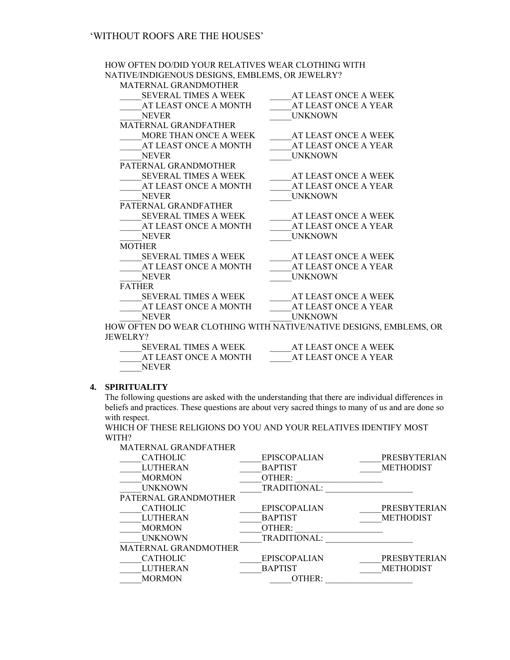### HOW OFTEN DO/DID YOUR RELATIVES WEAR CLOTHING WITH NATIVE/INDIGENOUS DESIGNS, EMBLEMS, OR JEWELRY?

MATERNAL GRANDMOTHER

| SEVERAL TIMES A WEEK        | AT LEAST ONCE A WEEK                                               |
|-----------------------------|--------------------------------------------------------------------|
| AT LEAST ONCE A MONTH       | AT LEAST ONCE A YEAR                                               |
| <b>NEVER</b>                | <b>UNKNOWN</b>                                                     |
| MATERNAL GRANDFATHER        |                                                                    |
| MORE THAN ONCE A WEEK       | AT LEAST ONCE A WEEK                                               |
| AT LEAST ONCE A MONTH       | AT LEAST ONCE A YEAR                                               |
| <b>NEVER</b>                | <b>UNKNOWN</b>                                                     |
| PATERNAL GRANDMOTHER        |                                                                    |
| SEVERAL TIMES A WEEK        | AT LEAST ONCE A WEEK                                               |
| AT LEAST ONCE A MONTH       | AT LEAST ONCE A YEAR                                               |
| <b>NEVER</b>                | <b>UNKNOWN</b>                                                     |
| PATERNAL GRANDFATHER        |                                                                    |
| <b>SEVERAL TIMES A WEEK</b> | AT LEAST ONCE A WEEK                                               |
| AT LEAST ONCE A MONTH       | AT LEAST ONCE A YEAR                                               |
| <b>NEVER</b>                | <b>UNKNOWN</b>                                                     |
| <b>MOTHER</b>               |                                                                    |
| SEVERAL TIMES A WEEK        | AT LEAST ONCE A WEEK                                               |
| AT LEAST ONCE A MONTH       | AT LEAST ONCE A YEAR                                               |
| <b>NEVER</b>                | <b>UNKNOWN</b>                                                     |
| <b>FATHER</b>               |                                                                    |
| SEVERAL TIMES A WEEK        | AT LEAST ONCE A WEEK                                               |
| AT LEAST ONCE A MONTH       | AT LEAST ONCE A YEAR                                               |
| <b>NEVER</b>                | <b>UNKNOWN</b>                                                     |
|                             | HOW OFTEN DO WEAR CLOTHING WITH NATIVE/NATIVE DESIGNS, EMBLEMS, OR |
| <b>JEWELRY?</b>             |                                                                    |
| <b>SEVERAL TIMES A WEEK</b> | AT LEAST ONCE A WEEK                                               |

| SEVERAL LIVIES A WEER. | AT LEAST UNCE A WEEN. |
|------------------------|-----------------------|
| AT LEAST ONCE A MONTH  | AT LEAST ONCE A YEAR  |
| <b>NEVER</b>           |                       |

### **4. SPIRITUALITY**

The following questions are asked with the understanding that there are individual differences in beliefs and practices. These questions are about very sacred things to many of us and are done so with respect.

WHICH OF THESE RELIGIONS DO YOU AND YOUR RELATIVES IDENTIFY MOST WITH?

| MATERNAL GRANDFATHER        |                     |                     |
|-----------------------------|---------------------|---------------------|
| <b>CATHOLIC</b>             | <b>EPISCOPALIAN</b> | <b>PRESBYTERIAN</b> |
| <b>LUTHERAN</b>             | <b>BAPTIST</b>      | <b>METHODIST</b>    |
| <b>MORMON</b>               | OTHER:              |                     |
| <b>UNKNOWN</b>              | <b>TRADITIONAL:</b> |                     |
| PATERNAL GRANDMOTHER        |                     |                     |
| <b>CATHOLIC</b>             | <b>EPISCOPALIAN</b> | <b>PRESBYTERIAN</b> |
| <b>LUTHERAN</b>             | <b>BAPTIST</b>      | <b>METHODIST</b>    |
| <b>MORMON</b>               | OTHER:              |                     |
| <b>UNKNOWN</b>              | <b>TRADITIONAL:</b> |                     |
| <b>MATERNAL GRANDMOTHER</b> |                     |                     |
| <b>CATHOLIC</b>             | <b>EPISCOPALIAN</b> | <b>PRESBYTERIAN</b> |
| <b>LUTHERAN</b>             | <b>BAPTIST</b>      | <b>METHODIST</b>    |
| <b>MORMON</b>               | OTHER:              |                     |
|                             |                     |                     |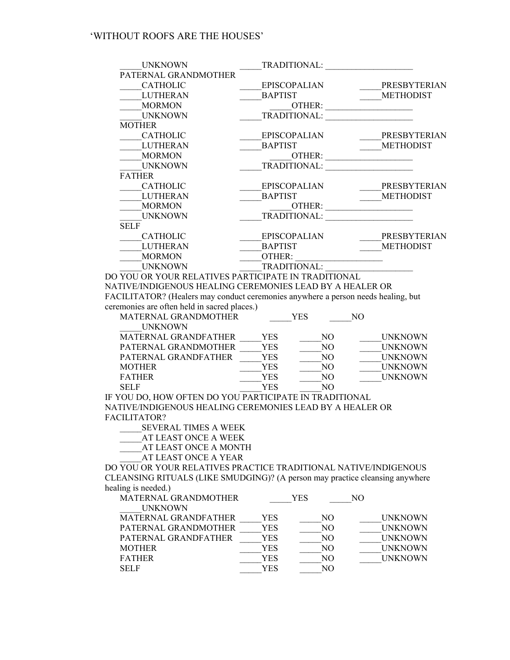| <b>UNKNOWN</b>                                      | TRADITIONAL:        |                     |
|-----------------------------------------------------|---------------------|---------------------|
| PATERNAL GRANDMOTHER                                |                     |                     |
| <b>CATHOLIC</b>                                     | <b>EPISCOPALIAN</b> | PRESBYTERIAN        |
| <b>LUTHERAN</b>                                     | <b>BAPTIST</b>      | <b>METHODIST</b>    |
| <b>MORMON</b>                                       | OTHER:              |                     |
| <b>UNKNOWN</b>                                      | TRADITIONAL:        |                     |
| <b>MOTHER</b>                                       |                     |                     |
| <b>CATHOLIC</b>                                     | <b>EPISCOPALIAN</b> | <b>PRESBYTERIAN</b> |
| <b>LUTHERAN</b>                                     | <b>BAPTIST</b>      | <b>METHODIST</b>    |
| <b>MORMON</b>                                       | OTHER:              |                     |
| <b>UNKNOWN</b>                                      | TRADITIONAL:        |                     |
| <b>FATHER</b>                                       |                     |                     |
| <b>CATHOLIC</b>                                     | <b>EPISCOPALIAN</b> | PRESBYTERIAN        |
| <b>LUTHERAN</b>                                     | <b>BAPTIST</b>      | <b>METHODIST</b>    |
| <b>MORMON</b>                                       | OTHER:              |                     |
| <b>UNKNOWN</b>                                      | <b>TRADITIONAL:</b> |                     |
| <b>SELF</b>                                         |                     |                     |
| <b>CATHOLIC</b>                                     | <b>EPISCOPALIAN</b> | <b>PRESBYTERIAN</b> |
| <b>LUTHERAN</b>                                     | <b>BAPTIST</b>      | <b>METHODIST</b>    |
| <b>MORMON</b>                                       | OTHER:              |                     |
| <b>UNKNOWN</b>                                      | TRADITIONAL:        |                     |
| DO YOU OR YOUR RELATIVES PARTICIPATE IN TRADITIONAL |                     |                     |

NATIVE/INDIGENOUS HEALING CEREMONIES LEAD BY A HEALER OR FACILITATOR? (Healers may conduct ceremonies anywhere a person needs healing, but ceremonies are often held in sacred places.)

| <b>MATERNAL GRANDMOTHER</b><br><b>UNKNOWN</b> |     | YES | NO             |
|-----------------------------------------------|-----|-----|----------------|
| <b>MATERNAL GRANDFATHER</b>                   | YES | NO  | <b>UNKNOWN</b> |
| PATERNAL GRANDMOTHER                          | YES | NO  | <b>UNKNOWN</b> |
| PATERNAL GRANDFATHER                          | YES | NO  | <b>UNKNOWN</b> |
| <b>MOTHER</b>                                 | YES | NО  | <b>UNKNOWN</b> |
| <b>FATHER</b>                                 | YES | NO  | <b>UNKNOWN</b> |
| SEL F                                         | YES | NΩ  |                |

IF YOU DO, HOW OFTEN DO YOU PARTICIPATE IN TRADITIONAL NATIVE/INDIGENOUS HEALING CEREMONIES LEAD BY A HEALER OR FACILITATOR?

\_\_\_\_\_SEVERAL TIMES A WEEK

AT LEAST ONCE A WEEK

\_\_\_\_\_AT LEAST ONCE A MONTH

AT LEAST ONCE A YEAR

DO YOU OR YOUR RELATIVES PRACTICE TRADITIONAL NATIVE/INDIGENOUS CLEANSING RITUALS (LIKE SMUDGING)? (A person may practice cleansing anywhere healing is needed.)

| MATERNAL GRANDMOTHER        |      | YES | NΟ             |
|-----------------------------|------|-----|----------------|
| <b>UNKNOWN</b>              |      |     |                |
| <b>MATERNAL GRANDFATHER</b> | YES  | NO  | <b>UNKNOWN</b> |
| PATERNAL GRANDMOTHER        | YES  | NO. | <b>UNKNOWN</b> |
| PATERNAL GRANDFATHER        | YES  | NO  | <b>UNKNOWN</b> |
| <b>MOTHER</b>               | YES  | NO  | <b>UNKNOWN</b> |
| <b>FATHER</b>               | YES  | NO  | <b>UNKNOWN</b> |
| <b>SELF</b>                 | YES. | NΩ  |                |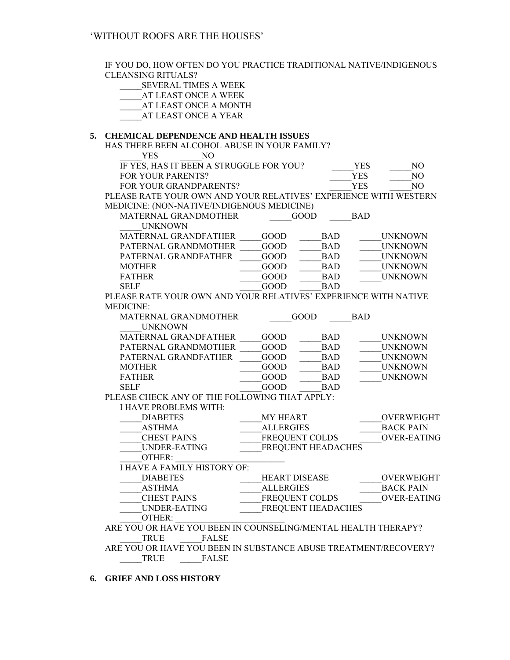IF YOU DO, HOW OFTEN DO YOU PRACTICE TRADITIONAL NATIVE/INDIGENOUS CLEANSING RITUALS? \_\_\_\_\_SEVERAL TIMES A WEEK AT LEAST ONCE A WEEK AT LEAST ONCE A MONTH AT LEAST ONCE A YEAR **5. CHEMICAL DEPENDENCE AND HEALTH ISSUES**  HAS THERE BEEN ALCOHOL ABUSE IN YOUR FAMILY? YES NO IF YES, HAS IT BEEN A STRUGGLE FOR YOU? \_\_\_\_\_YES \_\_\_\_\_NO FOR YOUR PARENTS? THE YES TO MO FOR YOUR GRANDPARENTS?  $YES$  NO PLEASE RATE YOUR OWN AND YOUR RELATIVES' EXPERIENCE WITH WESTERN MEDICINE: (NON-NATIVE/INDIGENOUS MEDICINE) MATERNAL GRANDMOTHER \_\_\_\_\_GOOD \_\_\_\_\_BAD \_\_\_\_\_UNKNOWN MATERNAL GRANDFATHER GOOD BAD UNKNOWN PATERNAL GRANDMOTHER \_\_\_\_\_GOOD \_\_\_\_\_\_BAD UNKNOWN PATERNAL GRANDFATHER \_\_\_\_\_\_GOOD \_\_\_\_\_\_\_\_\_BAD \_\_\_\_\_\_UNKNOWN MOTHER \_\_\_\_\_GOOD \_\_\_\_\_BAD \_\_\_\_\_UNKNOWN GOOD BAD UNKNOWN SELF GOOD BAD PLEASE RATE YOUR OWN AND YOUR RELATIVES' EXPERIENCE WITH NATIVE MEDICINE: MATERNAL GRANDMOTHER \_\_\_\_\_GOOD \_\_\_\_\_BAD \_\_\_\_\_UNKNOWN MATERNAL GRANDFATHER GOOD BAD UNKNOWN PATERNAL GRANDMOTHER \_\_\_\_\_GOOD \_\_\_\_\_\_\_\_BAD \_\_\_\_\_UNKNOWN PATERNAL GRANDFATHER GOOD BAD UNKNOWN MOTHER \_\_\_\_\_GOOD \_\_\_\_\_BAD \_\_\_\_\_UNKNOWN GOOD BAD UNKNOWN SELF GOOD BAD PLEASE CHECK ANY OF THE FOLLOWING THAT APPLY: I HAVE PROBLEMS WITH: \_\_\_\_\_DIABETES \_\_\_\_\_MY HEART \_\_\_\_\_OVERWEIGHT \_\_\_\_\_ASTHMA \_\_\_\_\_ALLERGIES \_\_\_\_\_BACK PAIN \_\_\_\_\_CHEST PAINS \_\_\_\_\_FREQUENT COLDS \_\_\_\_\_OVER-EATING UNDER-EATING FREQUENT HEADACHES OTHER: I HAVE A FAMILY HISTORY OF: \_\_\_\_\_DIABETES \_\_\_\_\_HEART DISEASE \_\_\_\_\_OVERWEIGHT ASTHMA  $ALLERGIES$  BACK PAIN CHEST PAINS FREQUENT COLDS OVER-EATING UNDER-EATING FREQUENT HEADACHES OTHER: ARE YOU OR HAVE YOU BEEN IN COUNSELING/MENTAL HEALTH THERAPY? TRUE FALSE ARE YOU OR HAVE YOU BEEN IN SUBSTANCE ABUSE TREATMENT/RECOVERY? \_\_\_\_\_TRUE \_\_\_\_\_FALSE

**6. GRIEF AND LOSS HISTORY**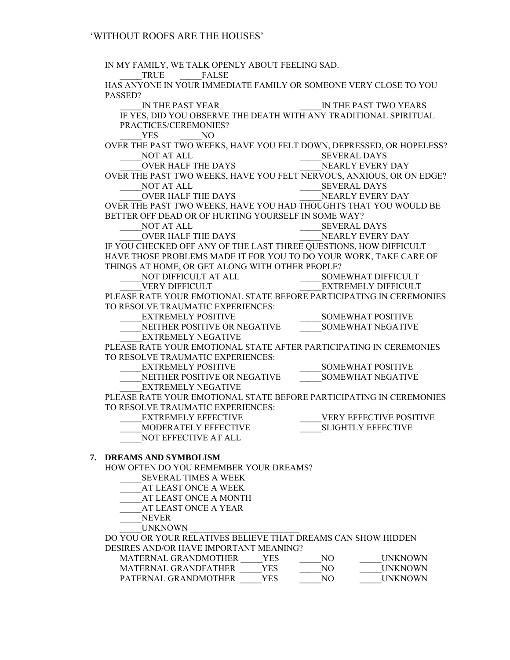IN MY FAMILY, WE TALK OPENLY ABOUT FEELING SAD. TRUE FALSE HAS ANYONE IN YOUR IMMEDIATE FAMILY OR SOMEONE VERY CLOSE TO YOU PASSED?<br>IN THE PAST YEAR \_\_\_\_\_IN THE PAST YEAR \_\_\_\_\_IN THE PAST TWO YEARS IF YES, DID YOU OBSERVE THE DEATH WITH ANY TRADITIONAL SPIRITUAL PRACTICES/CEREMONIES? YES NO OVER THE PAST TWO WEEKS, HAVE YOU FELT DOWN, DEPRESSED, OR HOPELESS? \_\_\_\_\_NOT AT ALL \_\_\_\_\_SEVERAL DAYS \_\_\_\_\_OVER HALF THE DAYS \_\_\_\_\_NEARLY EVERY DAY OVER THE PAST TWO WEEKS, HAVE YOU FELT NERVOUS, ANXIOUS, OR ON EDGE?<br>NOT AT ALL SEVERAL DAYS \_\_\_\_\_NOT AT ALL \_\_\_\_\_SEVERAL DAYS OVER HALF THE DAYS \_\_\_\_\_\_\_\_\_\_\_\_\_\_\_\_\_\_\_\_\_\_\_NEARLY EVERY DAY OVER THE PAST TWO WEEKS, HAVE YOU HAD THOUGHTS THAT YOU WOULD BE BETTER OFF DEAD OR OF HURTING YOURSELF IN SOME WAY? \_\_\_\_\_NOT AT ALL \_\_\_\_\_SEVERAL DAYS \_\_\_\_\_OVER HALF THE DAYS \_\_\_\_\_NEARLY EVERY DAY IF YOU CHECKED OFF ANY OF THE LAST THREE QUESTIONS, HOW DIFFICULT HAVE THOSE PROBLEMS MADE IT FOR YOU TO DO YOUR WORK, TAKE CARE OF THINGS AT HOME, OR GET ALONG WITH OTHER PEOPLE? \_\_\_\_\_NOT DIFFICULT AT ALL \_\_\_\_\_SOMEWHAT DIFFICULT \_\_\_\_\_VERY DIFFICULT \_\_\_\_\_EXTREMELY DIFFICULT PLEASE RATE YOUR EMOTIONAL STATE BEFORE PARTICIPATING IN CEREMONIES TO RESOLVE TRAUMATIC EXPERIENCES: \_\_\_\_\_EXTREMELY POSITIVE \_\_\_\_\_SOMEWHAT POSITIVE \_\_\_\_\_NEITHER POSITIVE OR NEGATIVE \_\_\_\_\_SOMEWHAT NEGATIVE EXTREMELY NEGATIVE PLEASE RATE YOUR EMOTIONAL STATE AFTER PARTICIPATING IN CEREMONIES TO RESOLVE TRAUMATIC EXPERIENCES: EXTREMELY POSITIVE THE SOMEWHAT POSITIVE NEITHER POSITIVE OR NEGATIVE SOMEWHAT NEGATIVE \_\_\_\_\_EXTREMELY NEGATIVE PLEASE RATE YOUR EMOTIONAL STATE BEFORE PARTICIPATING IN CEREMONIES TO RESOLVE TRAUMATIC EXPERIENCES: EXTREMELY EFFECTIVE WERY EFFECTIVE POSITIVE \_\_\_\_\_MODERATELY EFFECTIVE \_\_\_\_\_SLIGHTLY EFFECTIVE \_\_\_\_\_NOT EFFECTIVE AT ALL **7. DREAMS AND SYMBOLISM**  HOW OFTEN DO YOU REMEMBER YOUR DREAMS? \_\_\_\_\_SEVERAL TIMES A WEEK \_\_\_\_\_AT LEAST ONCE A WEEK \_\_\_\_\_AT LEAST ONCE A MONTH AT LEAST ONCE A YEAR \_\_\_\_\_NEVER UNKNOWN

DO YOU OR YOUR RELATIVES BELIEVE THAT DREAMS CAN SHOW HIDDEN DESIRES AND/OR HAVE IMPORTANT MEANING?

| MATERNAL GRANDMOTHER | YFS | NΟ | <b>UNKNOWN</b>   |
|----------------------|-----|----|------------------|
| MATERNAL GRANDFATHER | YFS | NΩ | <b>I INKNOWN</b> |
| PATERNAL GRANDMOTHER | YES | NΩ | <b>UNKNOWN</b>   |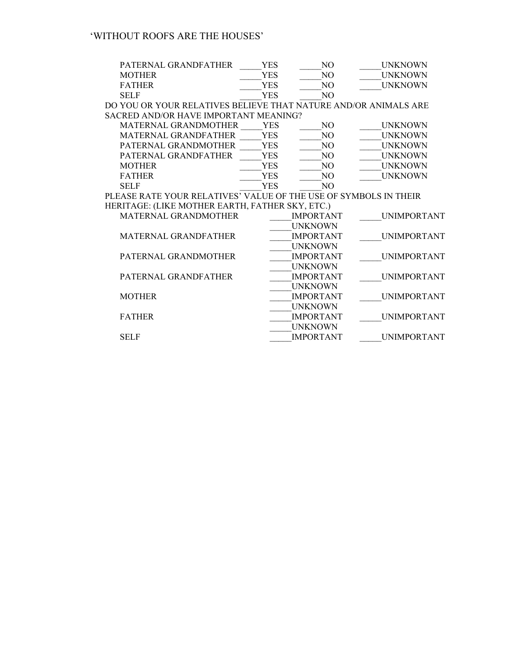| PATERNAL GRANDFATHER                                             | <b>YES</b> | NO.              | <b>UNKNOWN</b>     |
|------------------------------------------------------------------|------------|------------------|--------------------|
| <b>MOTHER</b>                                                    | YES        | NO.              | <b>UNKNOWN</b>     |
| <b>FATHER</b>                                                    | <b>YES</b> | NO.              | <b>UNKNOWN</b>     |
| <b>SELF</b>                                                      | <b>YES</b> | NO.              |                    |
| DO YOU OR YOUR RELATIVES BELIEVE THAT NATURE AND/OR ANIMALS ARE  |            |                  |                    |
| SACRED AND/OR HAVE IMPORTANT MEANING?                            |            |                  |                    |
| <b>MATERNAL GRANDMOTHER</b>                                      | <b>YES</b> | NO.              | <b>UNKNOWN</b>     |
| <b>MATERNAL GRANDFATHER</b>                                      | <b>YES</b> | N <sub>O</sub>   | <b>UNKNOWN</b>     |
| PATERNAL GRANDMOTHER                                             | <b>YES</b> | NO.              | <b>UNKNOWN</b>     |
| PATERNAL GRANDFATHER                                             | <b>YES</b> | N <sub>O</sub>   | <b>UNKNOWN</b>     |
| <b>MOTHER</b>                                                    | <b>YES</b> | N <sub>O</sub>   | <b>UNKNOWN</b>     |
| <b>FATHER</b>                                                    | <b>YES</b> | N <sub>O</sub>   | <b>UNKNOWN</b>     |
| <b>SELF</b>                                                      | YES        | NO.              |                    |
| PLEASE RATE YOUR RELATIVES' VALUE OF THE USE OF SYMBOLS IN THEIR |            |                  |                    |
| HERITAGE: (LIKE MOTHER EARTH, FATHER SKY, ETC.)                  |            |                  |                    |
| <b>MATERNAL GRANDMOTHER</b>                                      |            | <b>IMPORTANT</b> | <b>UNIMPORTANT</b> |
|                                                                  |            | <b>UNKNOWN</b>   |                    |
| <b>MATERNAL GRANDFATHER</b>                                      |            | <b>IMPORTANT</b> | <b>UNIMPORTANT</b> |
|                                                                  |            | <b>UNKNOWN</b>   |                    |
| PATERNAL GRANDMOTHER                                             |            | <b>IMPORTANT</b> | <b>UNIMPORTANT</b> |
|                                                                  |            | <b>UNKNOWN</b>   |                    |
| PATERNAL GRANDFATHER                                             |            | <b>IMPORTANT</b> | <b>UNIMPORTANT</b> |
|                                                                  |            |                  |                    |

\_\_\_\_\_UNKNOWN

UNIMPORTANT

| <b>FATHER</b> | <b>IMPORTANT</b> | <b>UNIMPORTANT</b> |
|---------------|------------------|--------------------|
|               | <b>INKNOWN</b>   |                    |

\_\_\_\_\_UNKNOWN

SELF **IMPORTANT** UNIMPORTANT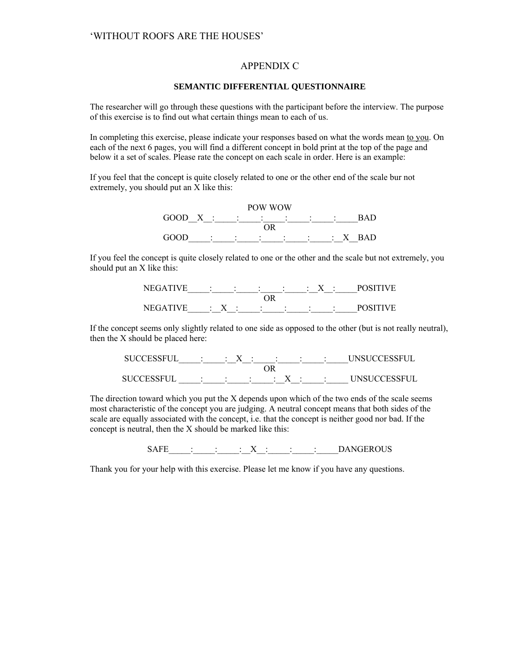### APPENDIX C

#### **SEMANTIC DIFFERENTIAL QUESTIONNAIRE**

The researcher will go through these questions with the participant before the interview. The purpose of this exercise is to find out what certain things mean to each of us.

In completing this exercise, please indicate your responses based on what the words mean to you. On each of the next 6 pages, you will find a different concept in bold print at the top of the page and below it a set of scales. Please rate the concept on each scale in order. Here is an example:

If you feel that the concept is quite closely related to one or the other end of the scale bur not extremely, you should put an X like this:



If you feel the concept is quite closely related to one or the other and the scale but not extremely, you should put an X like this:



If the concept seems only slightly related to one side as opposed to the other (but is not really neutral), then the X should be placed here:

| SUCCESSFUL : X : : : X : |  |  |                                      | <b>INSUCCESSEUL</b>    |
|--------------------------|--|--|--------------------------------------|------------------------|
|                          |  |  |                                      |                        |
| SHCCESSELIL              |  |  | $\vdots$ : $\vdots$ : $X$ : $\vdots$ | <b>I INSHCCESSELII</b> |

The direction toward which you put the X depends upon which of the two ends of the scale seems most characteristic of the concept you are judging. A neutral concept means that both sides of the scale are equally associated with the concept, i.e. that the concept is neither good nor bad. If the concept is neutral, then the X should be marked like this:

 $SAFE$   $\qquad \qquad : \qquad : \qquad : \qquad X : \qquad : \qquad : \qquad DANGEROUS$ 

Thank you for your help with this exercise. Please let me know if you have any questions.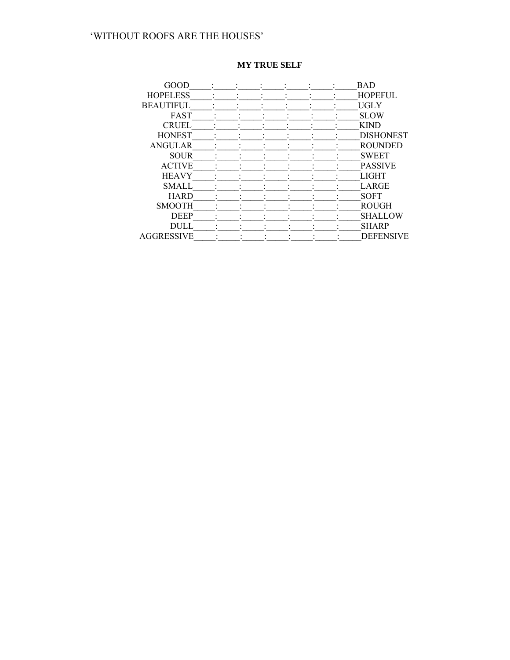|  |  |  | <b>BAD</b>       |
|--|--|--|------------------|
|  |  |  | <b>HOPEFUL</b>   |
|  |  |  | <b>UGLY</b>      |
|  |  |  | <b>SLOW</b>      |
|  |  |  | <b>KIND</b>      |
|  |  |  | <b>DISHONEST</b> |
|  |  |  | <b>ROUNDED</b>   |
|  |  |  | <b>SWEET</b>     |
|  |  |  | <b>PASSIVE</b>   |
|  |  |  | <b>LIGHT</b>     |
|  |  |  | LARGE            |
|  |  |  | <b>SOFT</b>      |
|  |  |  | <b>ROUGH</b>     |
|  |  |  | <b>SHALLOW</b>   |
|  |  |  | <b>SHARP</b>     |
|  |  |  | <b>DEFENSIVE</b> |
|  |  |  |                  |

### **MY TRUE SELF**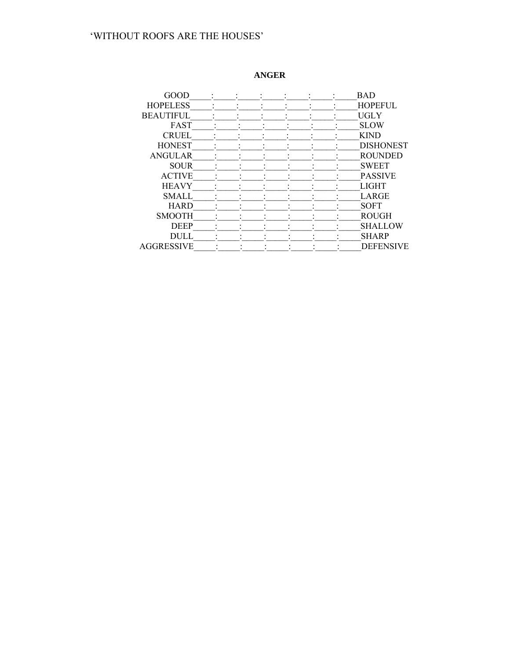# ANGER

| GOOD              |  |  |  | <b>BAD</b>       |
|-------------------|--|--|--|------------------|
| <b>HOPELESS</b>   |  |  |  | <b>HOPEFUL</b>   |
| <b>BEAUTIFUL</b>  |  |  |  | <b>UGLY</b>      |
| <b>FAST</b>       |  |  |  | <b>SLOW</b>      |
| <b>CRUEL</b>      |  |  |  | <b>KIND</b>      |
| <b>HONEST</b>     |  |  |  | <b>DISHONEST</b> |
| <b>ANGULAR</b>    |  |  |  | <b>ROUNDED</b>   |
| <b>SOUR</b>       |  |  |  | <b>SWEET</b>     |
| <b>ACTIVE</b>     |  |  |  | <b>PASSIVE</b>   |
| <b>HEAVY</b>      |  |  |  | <b>LIGHT</b>     |
| <b>SMALL</b>      |  |  |  | LARGE            |
| <b>HARD</b>       |  |  |  | <b>SOFT</b>      |
| <b>SMOOTH</b>     |  |  |  | <b>ROUGH</b>     |
| <b>DEEP</b>       |  |  |  | <b>SHALLOW</b>   |
| <b>DULL</b>       |  |  |  | <b>SHARP</b>     |
| <b>AGGRESSIVE</b> |  |  |  | <b>DEFENSIVE</b> |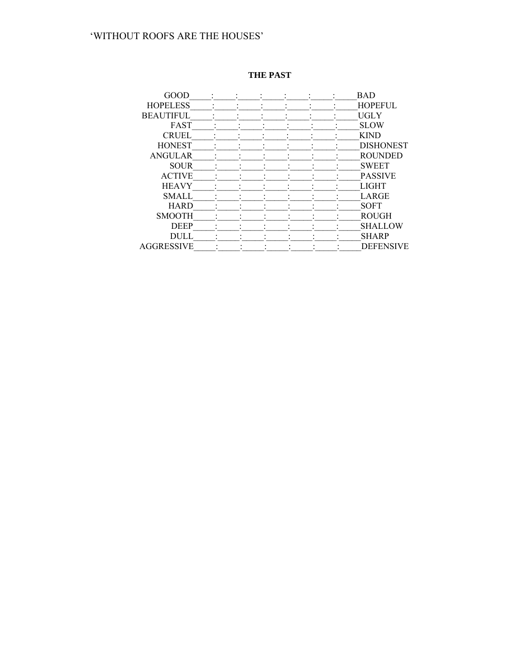# THE PAST

| GOOD              |  |  |  | <b>BAD</b>       |
|-------------------|--|--|--|------------------|
| <b>HOPELESS</b>   |  |  |  | <b>HOPEFUL</b>   |
| <b>BEAUTIFUL</b>  |  |  |  | UGLY             |
| FAST              |  |  |  | <b>SLOW</b>      |
| <b>CRUEL</b>      |  |  |  | <b>KIND</b>      |
| <b>HONEST</b>     |  |  |  | <b>DISHONEST</b> |
| <b>ANGULAR</b>    |  |  |  | <b>ROUNDED</b>   |
| <b>SOUR</b>       |  |  |  | <b>SWEET</b>     |
| <b>ACTIVE</b>     |  |  |  | <b>PASSIVE</b>   |
| <b>HEAVY</b>      |  |  |  | <b>LIGHT</b>     |
| <b>SMALL</b>      |  |  |  | LARGE            |
| <b>HARD</b>       |  |  |  | <b>SOFT</b>      |
| <b>SMOOTH</b>     |  |  |  | <b>ROUGH</b>     |
| <b>DEEP</b>       |  |  |  | SHALLOW          |
| <b>DULL</b>       |  |  |  | <b>SHARP</b>     |
| <b>AGGRESSIVE</b> |  |  |  | <b>DEFENSIVE</b> |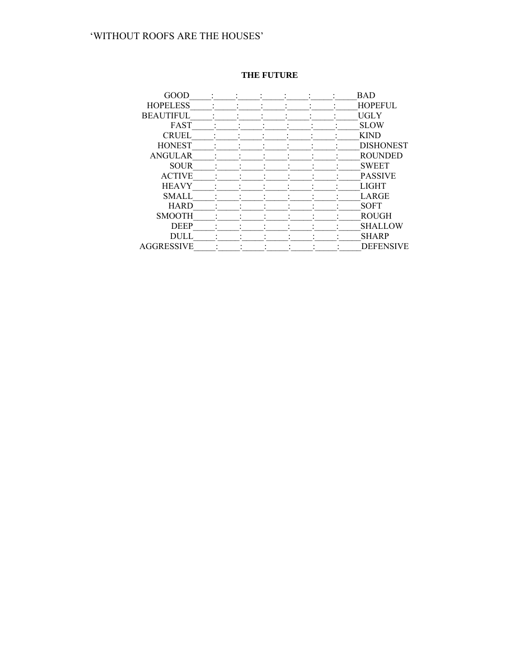# THE FUTURE

| GOOD              |  |  |  | <b>BAD</b>       |
|-------------------|--|--|--|------------------|
| <b>HOPELESS</b>   |  |  |  | <b>HOPEFUL</b>   |
| <b>BEAUTIFUL</b>  |  |  |  | UGLY             |
| FAST              |  |  |  | <b>SLOW</b>      |
| <b>CRUEL</b>      |  |  |  | <b>KIND</b>      |
| <b>HONEST</b>     |  |  |  | <b>DISHONEST</b> |
| <b>ANGULAR</b>    |  |  |  | <b>ROUNDED</b>   |
| <b>SOUR</b>       |  |  |  | <b>SWEET</b>     |
| <b>ACTIVE</b>     |  |  |  | <b>PASSIVE</b>   |
| <b>HEAVY</b>      |  |  |  | <b>LIGHT</b>     |
| <b>SMALL</b>      |  |  |  | LARGE            |
| <b>HARD</b>       |  |  |  | <b>SOFT</b>      |
| <b>SMOOTH</b>     |  |  |  | <b>ROUGH</b>     |
| <b>DEEP</b>       |  |  |  | SHALLOW          |
| <b>DULL</b>       |  |  |  | <b>SHARP</b>     |
| <b>AGGRESSIVE</b> |  |  |  | <b>DEFENSIVE</b> |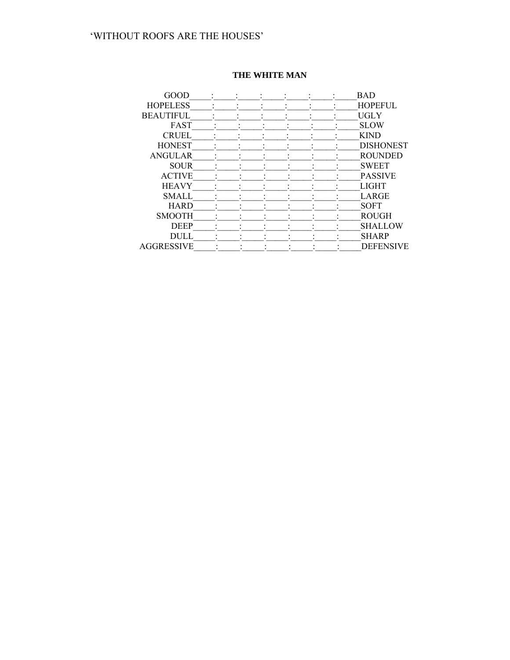| GOOD              |  |  | <b>BAD</b>       |
|-------------------|--|--|------------------|
| <b>HOPELESS</b>   |  |  | <b>HOPEFUL</b>   |
| <b>BEAUTIFUL</b>  |  |  | <b>UGLY</b>      |
| <b>FAST</b>       |  |  | <b>SLOW</b>      |
| <b>CRUEL</b>      |  |  | <b>KIND</b>      |
| <b>HONEST</b>     |  |  | <b>DISHONEST</b> |
| <b>ANGULAR</b>    |  |  | <b>ROUNDED</b>   |
| <b>SOUR</b>       |  |  | <b>SWEET</b>     |
| <b>ACTIVE</b>     |  |  | <b>PASSIVE</b>   |
| <b>HEAVY</b>      |  |  | <b>LIGHT</b>     |
| <b>SMALL</b>      |  |  | LARGE            |
| <b>HARD</b>       |  |  | <b>SOFT</b>      |
| <b>SMOOTH</b>     |  |  | <b>ROUGH</b>     |
| <b>DEEP</b>       |  |  | <b>SHALLOW</b>   |
| <b>DULL</b>       |  |  | <b>SHARP</b>     |
| <b>AGGRESSIVE</b> |  |  | <b>DEFENSIVE</b> |

# THE WHITE MAN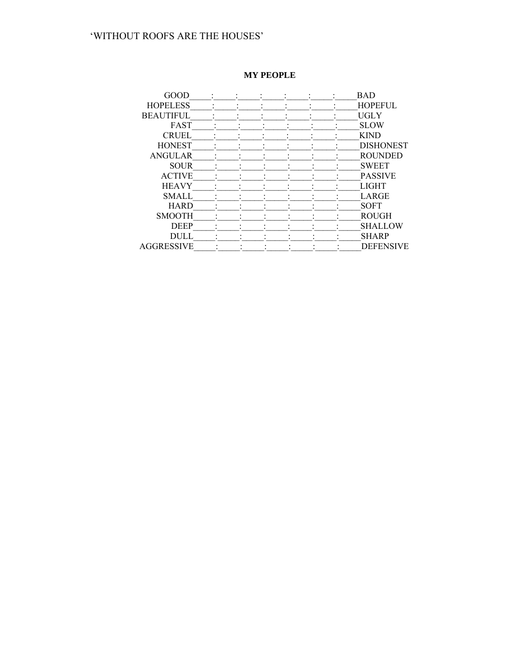# **MY PEOPLE**

| GOOD              |  |  | <b>BAD</b>       |
|-------------------|--|--|------------------|
| <b>HOPELESS</b>   |  |  | <b>HOPEFUL</b>   |
| <b>BEAUTIFUL</b>  |  |  | <b>UGLY</b>      |
| <b>FAST</b>       |  |  | <b>SLOW</b>      |
| <b>CRUEL</b>      |  |  | <b>KIND</b>      |
| <b>HONEST</b>     |  |  | <b>DISHONEST</b> |
| <b>ANGULAR</b>    |  |  | <b>ROUNDED</b>   |
| <b>SOUR</b>       |  |  | <b>SWEET</b>     |
| <b>ACTIVE</b>     |  |  | <b>PASSIVE</b>   |
| <b>HEAVY</b>      |  |  | <b>LIGHT</b>     |
| <b>SMALL</b>      |  |  | <b>LARGE</b>     |
| <b>HARD</b>       |  |  | <b>SOFT</b>      |
| <b>SMOOTH</b>     |  |  | <b>ROUGH</b>     |
| <b>DEEP</b>       |  |  | <b>SHALLOW</b>   |
| <b>DULL</b>       |  |  | <b>SHARP</b>     |
| <b>AGGRESSIVE</b> |  |  | <b>DEFENSIVE</b> |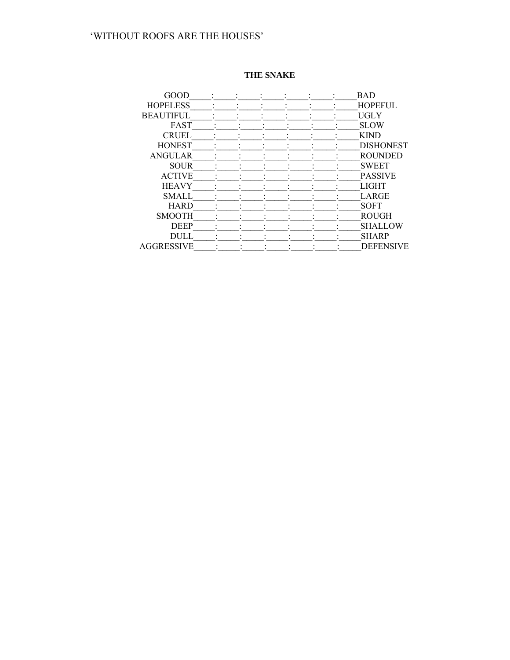# THE SNAKE

| GOOD              |  |  |  | <b>BAD</b>       |
|-------------------|--|--|--|------------------|
| <b>HOPELESS</b>   |  |  |  | <b>HOPEFUL</b>   |
| <b>BEAUTIFUL</b>  |  |  |  | <b>UGLY</b>      |
| FAST              |  |  |  | <b>SLOW</b>      |
| <b>CRUEL</b>      |  |  |  | <b>KIND</b>      |
| <b>HONEST</b>     |  |  |  | <b>DISHONEST</b> |
| <b>ANGULAR</b>    |  |  |  | <b>ROUNDED</b>   |
| <b>SOUR</b>       |  |  |  | <b>SWEET</b>     |
| <b>ACTIVE</b>     |  |  |  | <b>PASSIVE</b>   |
| <b>HEAVY</b>      |  |  |  | <b>LIGHT</b>     |
| <b>SMALL</b>      |  |  |  | LARGE            |
| <b>HARD</b>       |  |  |  | <b>SOFT</b>      |
| <b>SMOOTH</b>     |  |  |  | <b>ROUGH</b>     |
| <b>DEEP</b>       |  |  |  | <b>SHALLOW</b>   |
| <b>DULL</b>       |  |  |  | <b>SHARP</b>     |
| <b>AGGRESSIVE</b> |  |  |  | <b>DEFENSIVE</b> |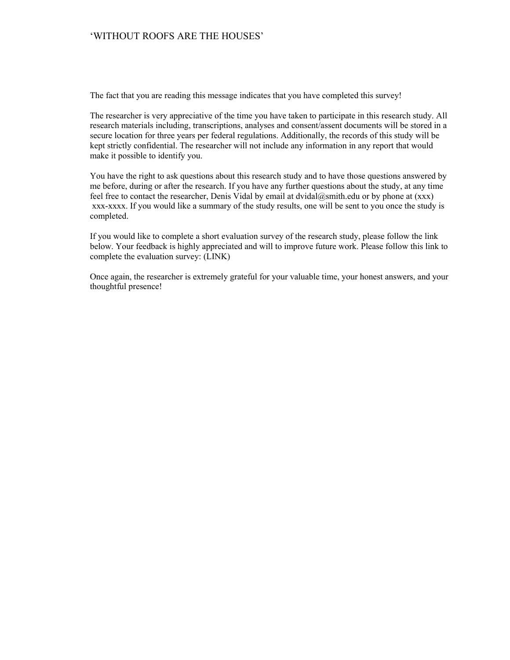The fact that you are reading this message indicates that you have completed this survey!

The researcher is very appreciative of the time you have taken to participate in this research study. All research materials including, transcriptions, analyses and consent/assent documents will be stored in a secure location for three years per federal regulations. Additionally, the records of this study will be kept strictly confidential. The researcher will not include any information in any report that would make it possible to identify you.

You have the right to ask questions about this research study and to have those questions answered by me before, during or after the research. If you have any further questions about the study, at any time feel free to contact the researcher, Denis Vidal by email at dvidal@smith.edu or by phone at (xxx) xxx-xxxx. If you would like a summary of the study results, one will be sent to you once the study is completed.

If you would like to complete a short evaluation survey of the research study, please follow the link below. Your feedback is highly appreciated and will to improve future work. Please follow this link to complete the evaluation survey: (LINK)

Once again, the researcher is extremely grateful for your valuable time, your honest answers, and your thoughtful presence!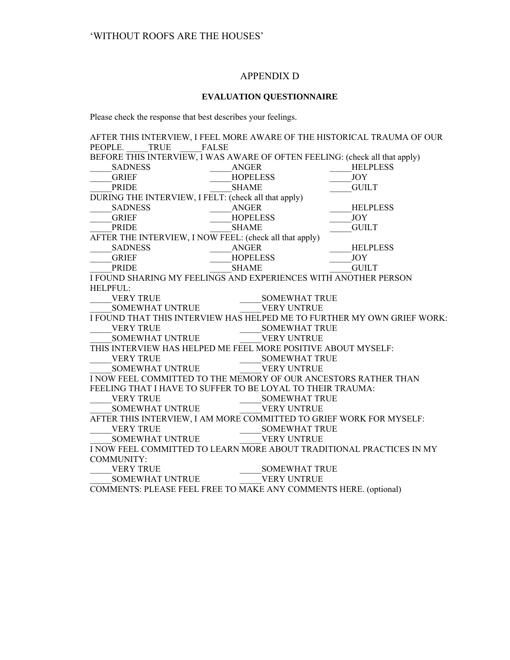### APPENDIX D

#### **EVALUATION QUESTIONNAIRE**

Please check the response that best describes your feelings.

AFTER THIS INTERVIEW, I FEEL MORE AWARE OF THE HISTORICAL TRAUMA OF OUR PEOPLE. TRUE FALSE PEOPLE. TRUE BEFORE THIS INTERVIEW, I WAS AWARE OF OFTEN FEELING: (check all that apply)  $SADNESS$   $ANGER$   $HELPLESS$ GRIEF HOPELESS JOY \_\_\_\_\_PRIDE \_\_\_\_\_SHAME \_\_\_\_\_GUILT DURING THE INTERVIEW, I FELT: (check all that apply) SADNESS ANGER HELPLESS \_\_\_\_\_GRIEF \_\_\_\_\_HOPELESS \_\_\_\_\_JOY PRIDE SHAME GUILT AFTER THE INTERVIEW, I NOW FEEL: (check all that apply) SADNESS ANGER HELPLESS \_\_\_\_\_GRIEF \_\_\_\_\_HOPELESS \_\_\_\_\_JOY PRIDE SHAME GUILT I FOUND SHARING MY FEELINGS AND EXPERIENCES WITH ANOTHER PERSON HELPFUL:<br>VERY TRUE \_\_\_\_\_VERY TRUE \_\_\_\_\_SOMEWHAT TRUE SOMEWHAT UNTRUE WERY UNTRUE I FOUND THAT THIS INTERVIEW HAS HELPED ME TO FURTHER MY OWN GRIEF WORK: VERY TRUE SOMEWHAT TRUE SOMEWHAT UNTRUE WERY UNTRUE THIS INTERVIEW HAS HELPED ME FEEL MORE POSITIVE ABOUT MYSELF: VERY TRUE SOMEWHAT TRUE \_\_\_\_\_SOMEWHAT UNTRUE \_\_\_\_\_VERY UNTRUE I NOW FEEL COMMITTED TO THE MEMORY OF OUR ANCESTORS RATHER THAN FEELING THAT I HAVE TO SUFFER TO BE LOYAL TO THEIR TRAUMA: VERY TRUE SOMEWHAT TRUE SOMEWHAT UNTRUE WERY UNTRUE AFTER THIS INTERVIEW, I AM MORE COMMITTED TO GRIEF WORK FOR MYSELF: VERY TRUE GOMEWHAT TRUE \_\_\_\_\_SOMEWHAT UNTRUE \_\_\_\_\_VERY UNTRUE I NOW FEEL COMMITTED TO LEARN MORE ABOUT TRADITIONAL PRACTICES IN MY COMMUNITY: VERY TRUE SOMEWHAT TRUE SOMEWHAT UNTRUE **WERY UNTRUE** 

COMMENTS: PLEASE FEEL FREE TO MAKE ANY COMMENTS HERE. (optional)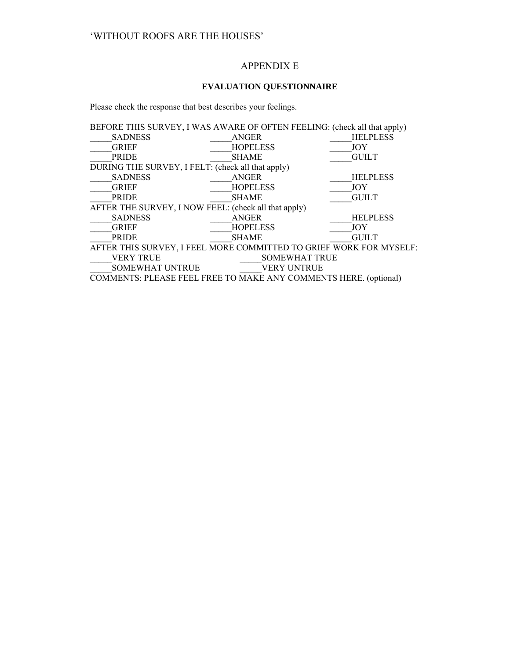# APPENDIX E

# **EVALUATION QUESTIONNAIRE**

Please check the response that best describes your feelings.

| BEFORE THIS SURVEY, I WAS AWARE OF OFTEN FEELING: (check all that apply) |                      |                 |  |  |  |  |
|--------------------------------------------------------------------------|----------------------|-----------------|--|--|--|--|
| <b>SADNESS</b>                                                           | <b>ANGER</b>         | <b>HELPLESS</b> |  |  |  |  |
| <b>GRIEF</b>                                                             | <b>HOPELESS</b>      | <b>JOY</b>      |  |  |  |  |
| <b>PRIDE</b>                                                             | <b>SHAME</b>         | <b>GUILT</b>    |  |  |  |  |
| DURING THE SURVEY, I FELT: (check all that apply)                        |                      |                 |  |  |  |  |
| <b>SADNESS</b>                                                           | <b>ANGER</b>         | <b>HELPLESS</b> |  |  |  |  |
| <b>GRIEF</b>                                                             | <b>HOPELESS</b>      | <b>JOY</b>      |  |  |  |  |
| <b>PRIDE</b>                                                             | <b>SHAME</b>         | <b>GUILT</b>    |  |  |  |  |
| AFTER THE SURVEY, I NOW FEEL: (check all that apply)                     |                      |                 |  |  |  |  |
| <b>SADNESS</b>                                                           | ANGER                | <b>HELPLESS</b> |  |  |  |  |
| <b>GRIEF</b>                                                             | <b>HOPELESS</b>      | <b>JOY</b>      |  |  |  |  |
| <b>PRIDE</b>                                                             | <b>SHAME</b>         | <b>GUILT</b>    |  |  |  |  |
| AFTER THIS SURVEY, I FEEL MORE COMMITTED TO GRIEF WORK FOR MYSELF:       |                      |                 |  |  |  |  |
| <b>VERY TRUE</b>                                                         | <b>SOMEWHAT TRUE</b> |                 |  |  |  |  |
| <b>SOMEWHAT UNTRUE</b>                                                   | <b>VERY UNTRUE</b>   |                 |  |  |  |  |
| <b>COMMENTS: PLEASE FEEL FREE TO MAKE ANY COMMENTS HERE. (optional)</b>  |                      |                 |  |  |  |  |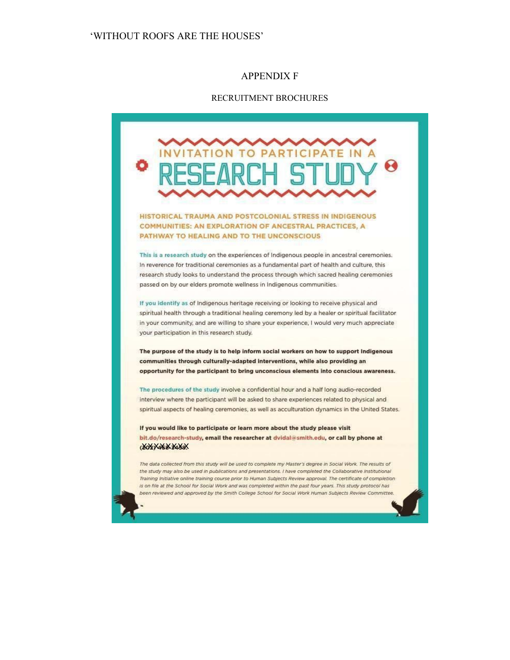#### APPENDIX F

#### RECRUITMENT BROCHURES



If you would like to participate or learn more about the study please visit bit.do/research-study, email the researcher at dvidal@smith.edu, or call by phone at **XXXXXXXXX** 

The data collected from this study will be used to complete my Master's degree in Social Work. The results of the study may also be used in publications and presentations. I have completed the Collaborative Institutional Training Initiative online training course prior to Human Subjects Review approval. The certificate of completion is on file at the School for Social Work and was completed within the past four years. This study protocol has been reviewed and approved by the Smith College School for Social Work Human Subjects Review Committee.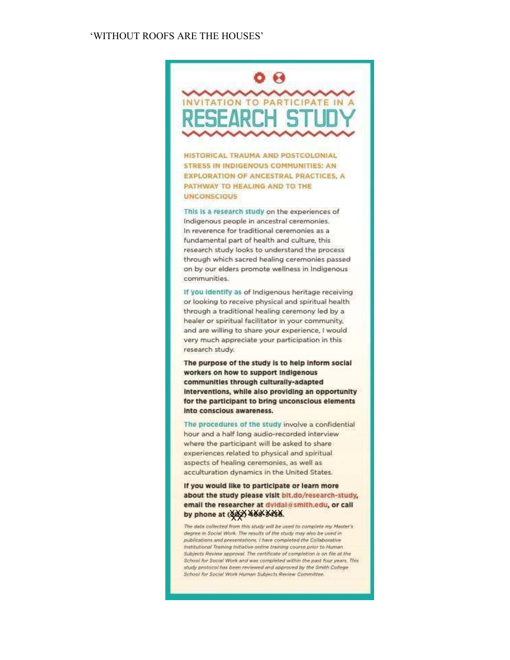# **08** INVITATION TO PARTICIPATE IN A **ESEARCH** S.

HISTORICAL TRAUMA AND POSTCOLONIAL STRESS IN INDIGENOUS COMMUNITIES: AN **EXPLORATION OF ANCESTRAL PRACTICES, A** PATHWAY TO HEALING AND TO THE **UNCONSCIOUS** 

This is a research study on the experiences of Indigenous people in ancestral ceremonies. In reverence for traditional ceremonies as a fundamental part of health and culture, this research study looks to understand the process through which sacred healing ceremonies passed on by our elders promote wellness in Indigenous communities.

If you Identify as of Indigenous heritage receiving or looking to receive physical and spiritual health through a traditional healing ceremony led by a healer or spiritual facilitator in your community, and are willing to share your experience, I would very much appreciate your participation in this research study.

The purpose of the study is to help inform social workers on how to support indigenous communities through culturally-adapted interventions, while also providing an opportunity for the participant to bring unconscious elements Into conscious awareness.

The procedures of the study involve a confidential hour and a half long audio-recorded interview where the participant will be asked to share experiences related to physical and spiritual aspects of healing ceremonies, as well as acculturation dynamics in the United States.

If you would like to participate or learn more about the study please visit bit.do/research-study, email the researcher at dvidal@smith.edu, or call by phone at (44) 468 3488.

The data collected from this study will be used to complete my Master's degree in Social Work. The results of the study may also be used in publications and presentations. I have completed the Collaborative Institutional Training initiative online training course prior to Human Subjects Review approval. The certificate of completion is on file at the School for Social Work and was completed within the past four years. This study protocol has been reviewed and approved by the Smith College School for Social Work Human Subjects Review Committee.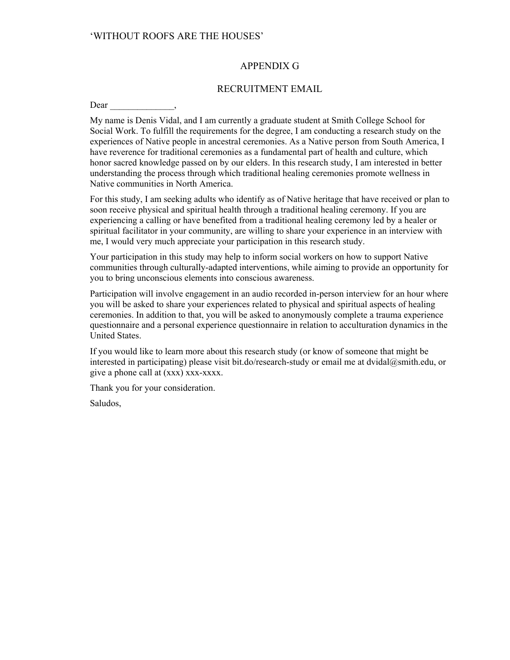### APPENDIX G

### RECRUITMENT EMAIL

Dear

My name is Denis Vidal, and I am currently a graduate student at Smith College School for Social Work. To fulfill the requirements for the degree, I am conducting a research study on the experiences of Native people in ancestral ceremonies. As a Native person from South America, I have reverence for traditional ceremonies as a fundamental part of health and culture, which honor sacred knowledge passed on by our elders. In this research study, I am interested in better understanding the process through which traditional healing ceremonies promote wellness in Native communities in North America.

For this study, I am seeking adults who identify as of Native heritage that have received or plan to soon receive physical and spiritual health through a traditional healing ceremony. If you are experiencing a calling or have benefited from a traditional healing ceremony led by a healer or spiritual facilitator in your community, are willing to share your experience in an interview with me, I would very much appreciate your participation in this research study.

Your participation in this study may help to inform social workers on how to support Native communities through culturally-adapted interventions, while aiming to provide an opportunity for you to bring unconscious elements into conscious awareness.

Participation will involve engagement in an audio recorded in-person interview for an hour where you will be asked to share your experiences related to physical and spiritual aspects of healing ceremonies. In addition to that, you will be asked to anonymously complete a trauma experience questionnaire and a personal experience questionnaire in relation to acculturation dynamics in the United States.

If you would like to learn more about this research study (or know of someone that might be interested in participating) please visit bit.do/research-study or email me at dvidal@smith.edu, or give a phone call at (xxx) xxx-xxxx.

Thank you for your consideration.

Saludos,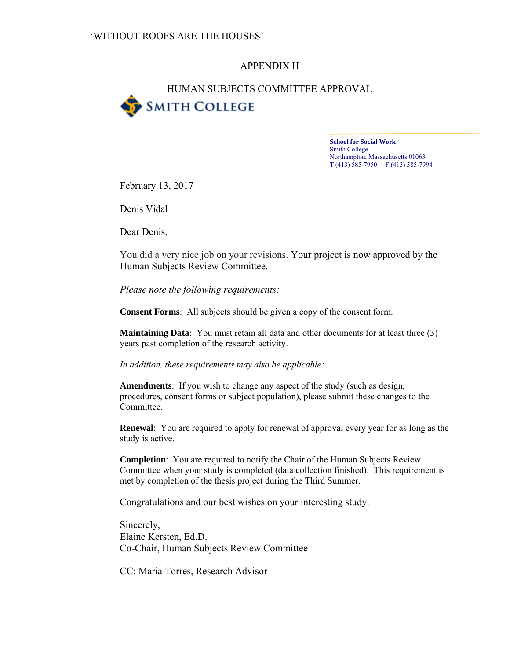## APPENDIX H

## HUMAN SUBJECTS COMMITTEE APPROVAL **SMITH COLLEGE**

**School for Social Work**  Smith College Northampton, Massachusetts 01063 T (413) 585-7950 F (413) 585-7994

February 13, 2017

Denis Vidal

Dear Denis,

You did a very nice job on your revisions. Your project is now approved by the Human Subjects Review Committee.

*Please note the following requirements:* 

**Consent Forms**: All subjects should be given a copy of the consent form.

**Maintaining Data**: You must retain all data and other documents for at least three (3) years past completion of the research activity.

*In addition, these requirements may also be applicable:* 

**Amendments**: If you wish to change any aspect of the study (such as design, procedures, consent forms or subject population), please submit these changes to the Committee.

**Renewal**: You are required to apply for renewal of approval every year for as long as the study is active.

**Completion**: You are required to notify the Chair of the Human Subjects Review Committee when your study is completed (data collection finished). This requirement is met by completion of the thesis project during the Third Summer.

Congratulations and our best wishes on your interesting study.

Sincerely, Elaine Kersten, Ed.D. Co-Chair, Human Subjects Review Committee

CC: Maria Torres, Research Advisor